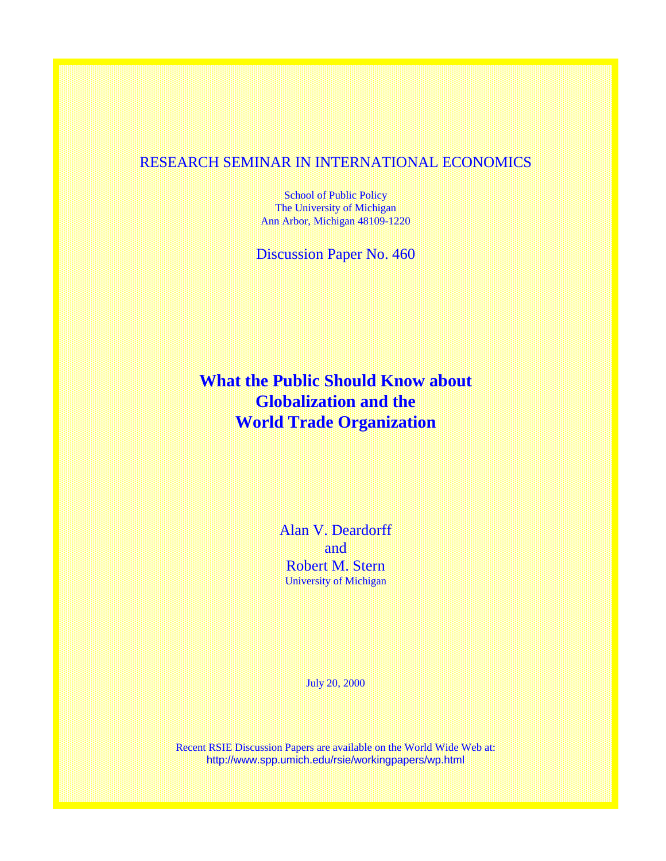### RESEARCH SEMINAR IN INTERNATIONAL ECONOMICS

School of Public Policy The University of Michigan Ann Arbor, Michigan 48109-1220

Discussion Paper No. 460

# **What the Public Should Know about Globalization and the World Trade Organization**

Alan V. Deardorff and Robert M. Stern University of Michigan

July 20, 2000

Recent RSIE Discussion Papers are available on the World Wide Web at: http://www.spp.umich.edu/rsie/workingpapers/wp.html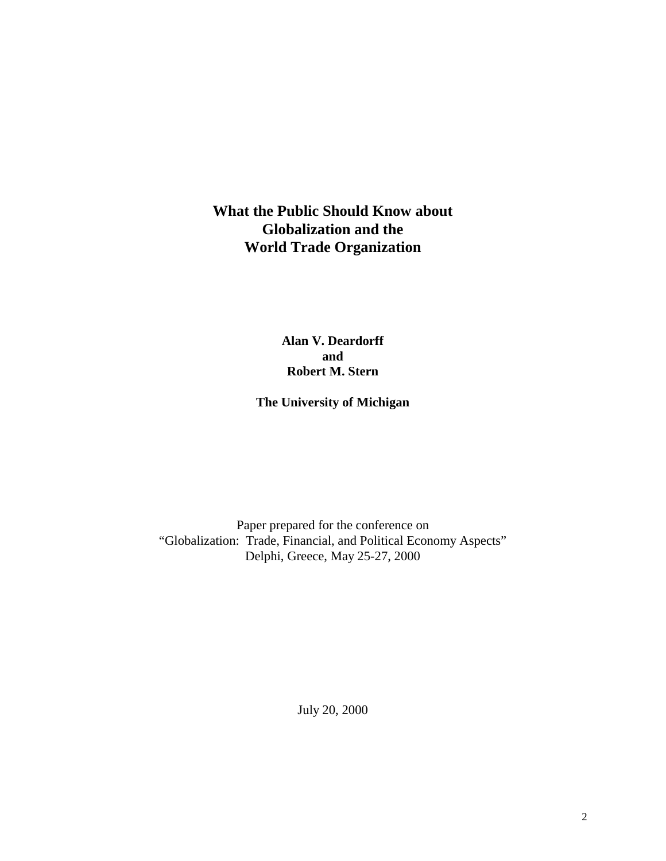## **What the Public Should Know about Globalization and the World Trade Organization**

**Alan V. Deardorff and Robert M. Stern** 

**The University of Michigan** 

Paper prepared for the conference on "Globalization: Trade, Financial, and Political Economy Aspects" Delphi, Greece, May 25-27, 2000

July 20, 2000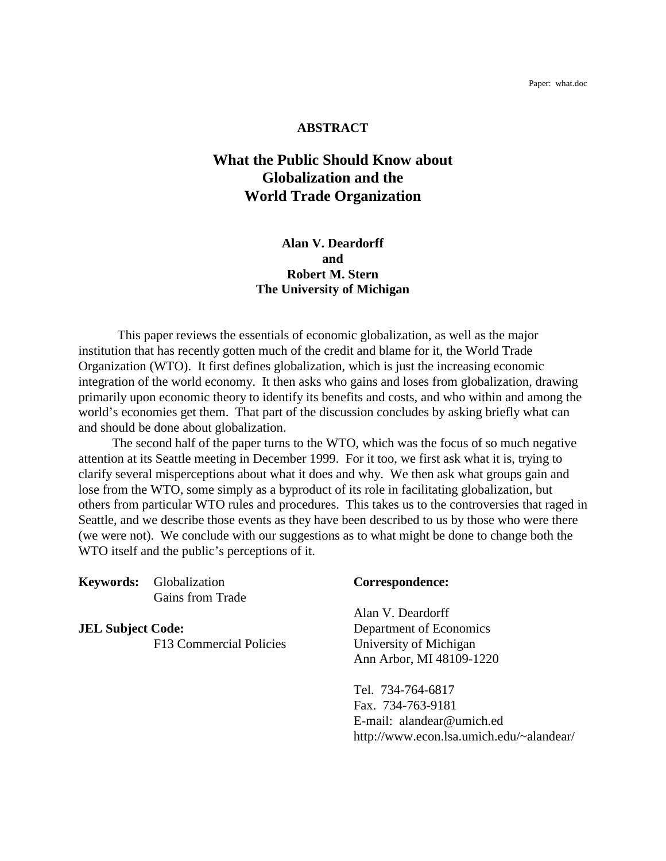Paper: what.doc

#### **ABSTRACT**

## **What the Public Should Know about Globalization and the World Trade Organization**

#### **Alan V. Deardorff and Robert M. Stern The University of Michigan**

 This paper reviews the essentials of economic globalization, as well as the major institution that has recently gotten much of the credit and blame for it, the World Trade Organization (WTO). It first defines globalization, which is just the increasing economic integration of the world economy. It then asks who gains and loses from globalization, drawing primarily upon economic theory to identify its benefits and costs, and who within and among the world's economies get them. That part of the discussion concludes by asking briefly what can and should be done about globalization.

 The second half of the paper turns to the WTO, which was the focus of so much negative attention at its Seattle meeting in December 1999. For it too, we first ask what it is, trying to clarify several misperceptions about what it does and why. We then ask what groups gain and lose from the WTO, some simply as a byproduct of its role in facilitating globalization, but others from particular WTO rules and procedures. This takes us to the controversies that raged in Seattle, and we describe those events as they have been described to us by those who were there (we were not). We conclude with our suggestions as to what might be done to change both the WTO itself and the public's perceptions of it.

| <b>Keywords:</b> Globalization | Correspondence:          |                   |
|--------------------------------|--------------------------|-------------------|
| Gains from Trade               |                          |                   |
|                                | Alan V. Deardorff        |                   |
| <b>JEL Subject Code:</b>       | Department of Economics  |                   |
| F13 Commercial Policies        | University of Michigan   |                   |
|                                | Ann Arbor, MI 48109-1220 |                   |
|                                |                          |                   |
|                                |                          | Tel. 734-764-6817 |

 Fax. 734-763-9181 E-mail: alandear@umich.ed http://www.econ.lsa.umich.edu/~alandear/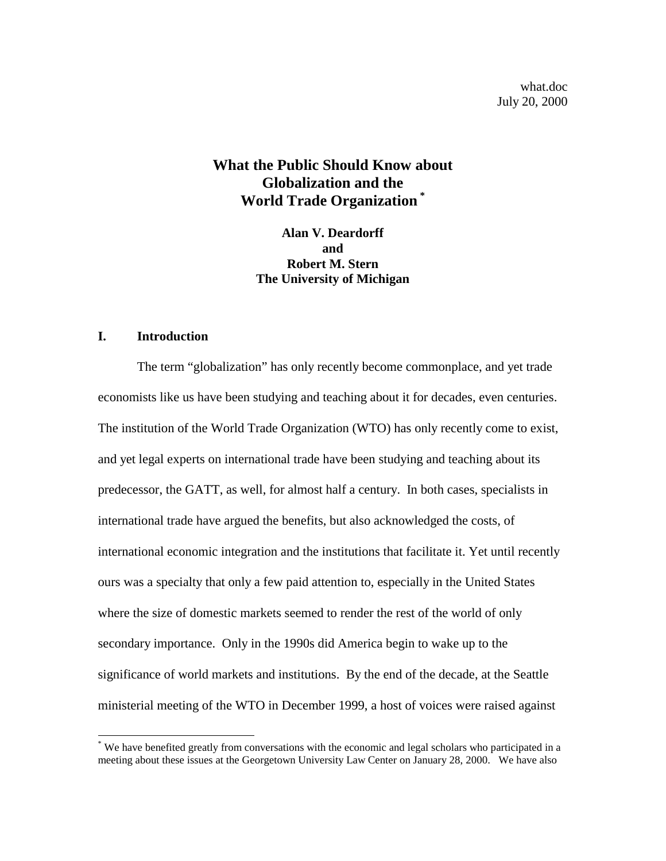what.doc July 20, 2000

## **What the Public Should Know about Globalization and the World Trade Organization \***

**Alan V. Deardorff and Robert M. Stern The University of Michigan** 

#### **I. Introduction**

 $\overline{a}$ 

The term "globalization" has only recently become commonplace, and yet trade economists like us have been studying and teaching about it for decades, even centuries. The institution of the World Trade Organization (WTO) has only recently come to exist, and yet legal experts on international trade have been studying and teaching about its predecessor, the GATT, as well, for almost half a century. In both cases, specialists in international trade have argued the benefits, but also acknowledged the costs, of international economic integration and the institutions that facilitate it. Yet until recently ours was a specialty that only a few paid attention to, especially in the United States where the size of domestic markets seemed to render the rest of the world of only secondary importance. Only in the 1990s did America begin to wake up to the significance of world markets and institutions. By the end of the decade, at the Seattle ministerial meeting of the WTO in December 1999, a host of voices were raised against

<sup>\*</sup> We have benefited greatly from conversations with the economic and legal scholars who participated in a meeting about these issues at the Georgetown University Law Center on January 28, 2000. We have also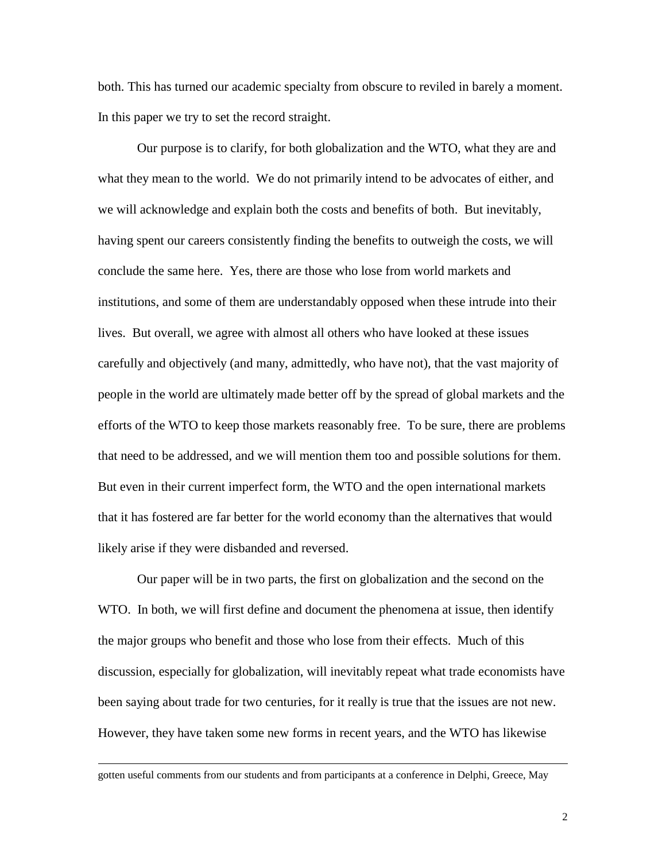both. This has turned our academic specialty from obscure to reviled in barely a moment. In this paper we try to set the record straight.

Our purpose is to clarify, for both globalization and the WTO, what they are and what they mean to the world. We do not primarily intend to be advocates of either, and we will acknowledge and explain both the costs and benefits of both. But inevitably, having spent our careers consistently finding the benefits to outweigh the costs, we will conclude the same here. Yes, there are those who lose from world markets and institutions, and some of them are understandably opposed when these intrude into their lives. But overall, we agree with almost all others who have looked at these issues carefully and objectively (and many, admittedly, who have not), that the vast majority of people in the world are ultimately made better off by the spread of global markets and the efforts of the WTO to keep those markets reasonably free. To be sure, there are problems that need to be addressed, and we will mention them too and possible solutions for them. But even in their current imperfect form, the WTO and the open international markets that it has fostered are far better for the world economy than the alternatives that would likely arise if they were disbanded and reversed.

Our paper will be in two parts, the first on globalization and the second on the WTO. In both, we will first define and document the phenomena at issue, then identify the major groups who benefit and those who lose from their effects. Much of this discussion, especially for globalization, will inevitably repeat what trade economists have been saying about trade for two centuries, for it really is true that the issues are not new. However, they have taken some new forms in recent years, and the WTO has likewise

 $\overline{a}$ 

gotten useful comments from our students and from participants at a conference in Delphi, Greece, May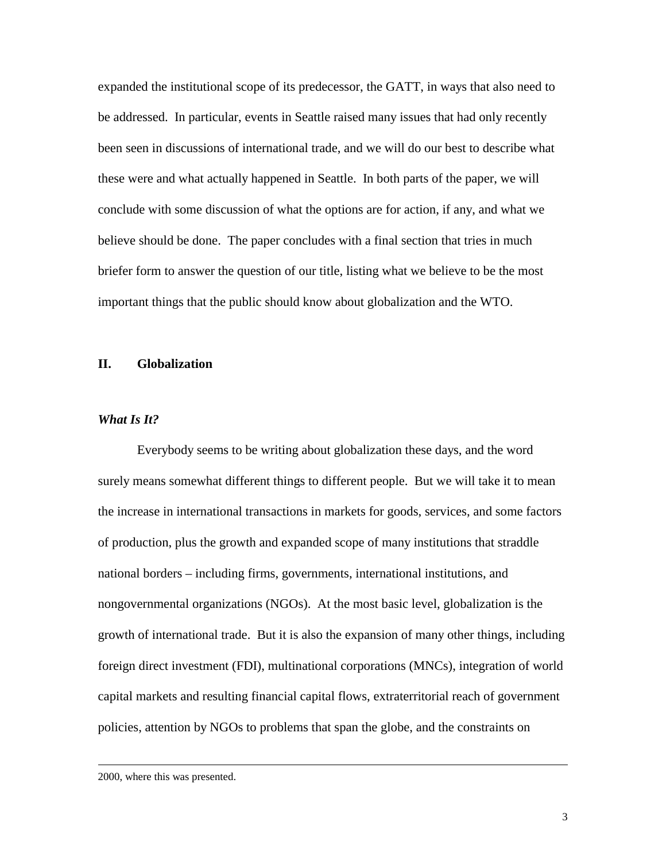expanded the institutional scope of its predecessor, the GATT, in ways that also need to be addressed. In particular, events in Seattle raised many issues that had only recently been seen in discussions of international trade, and we will do our best to describe what these were and what actually happened in Seattle. In both parts of the paper, we will conclude with some discussion of what the options are for action, if any, and what we believe should be done. The paper concludes with a final section that tries in much briefer form to answer the question of our title, listing what we believe to be the most important things that the public should know about globalization and the WTO.

#### **II. Globalization**

#### *What Is It?*

Everybody seems to be writing about globalization these days, and the word surely means somewhat different things to different people. But we will take it to mean the increase in international transactions in markets for goods, services, and some factors of production, plus the growth and expanded scope of many institutions that straddle national borders – including firms, governments, international institutions, and nongovernmental organizations (NGOs). At the most basic level, globalization is the growth of international trade. But it is also the expansion of many other things, including foreign direct investment (FDI), multinational corporations (MNCs), integration of world capital markets and resulting financial capital flows, extraterritorial reach of government policies, attention by NGOs to problems that span the globe, and the constraints on

<sup>2000,</sup> where this was presented.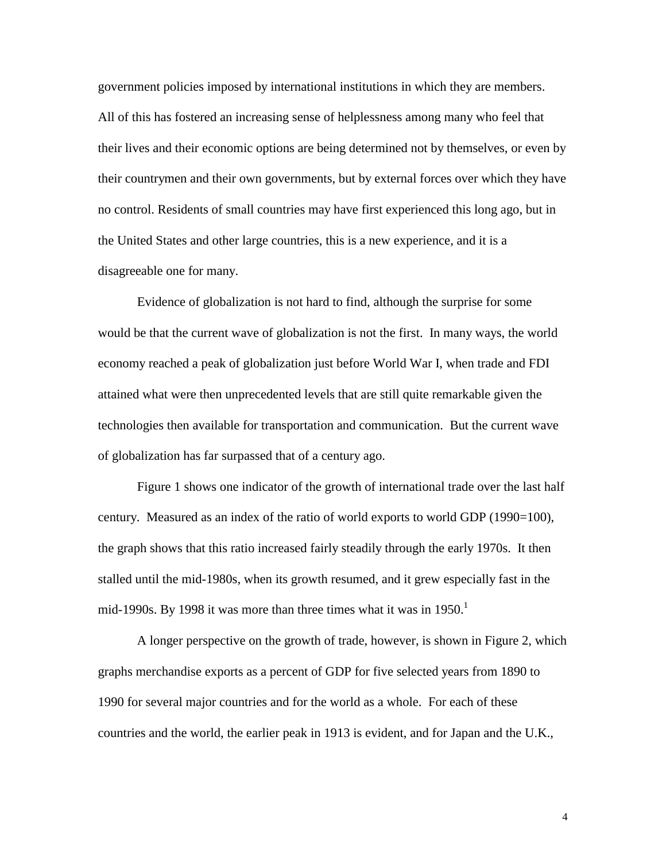government policies imposed by international institutions in which they are members. All of this has fostered an increasing sense of helplessness among many who feel that their lives and their economic options are being determined not by themselves, or even by their countrymen and their own governments, but by external forces over which they have no control. Residents of small countries may have first experienced this long ago, but in the United States and other large countries, this is a new experience, and it is a disagreeable one for many.

Evidence of globalization is not hard to find, although the surprise for some would be that the current wave of globalization is not the first. In many ways, the world economy reached a peak of globalization just before World War I, when trade and FDI attained what were then unprecedented levels that are still quite remarkable given the technologies then available for transportation and communication. But the current wave of globalization has far surpassed that of a century ago.

Figure 1 shows one indicator of the growth of international trade over the last half century. Measured as an index of the ratio of world exports to world GDP (1990=100), the graph shows that this ratio increased fairly steadily through the early 1970s. It then stalled until the mid-1980s, when its growth resumed, and it grew especially fast in the mid-1990s. By 1998 it was more than three times what it was in 1950.<sup>1</sup>

A longer perspective on the growth of trade, however, is shown in Figure 2, which graphs merchandise exports as a percent of GDP for five selected years from 1890 to 1990 for several major countries and for the world as a whole. For each of these countries and the world, the earlier peak in 1913 is evident, and for Japan and the U.K.,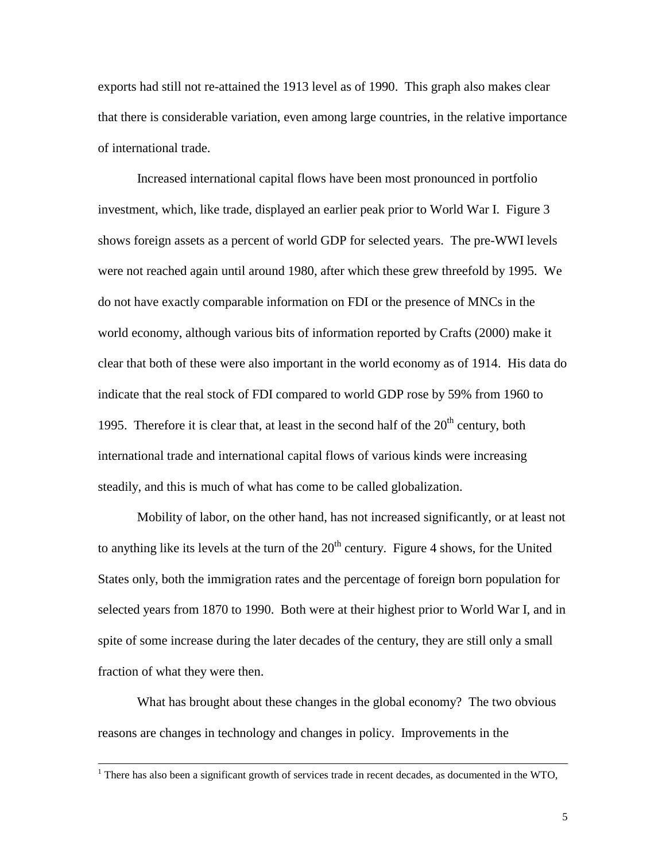exports had still not re-attained the 1913 level as of 1990. This graph also makes clear that there is considerable variation, even among large countries, in the relative importance of international trade.

Increased international capital flows have been most pronounced in portfolio investment, which, like trade, displayed an earlier peak prior to World War I. Figure 3 shows foreign assets as a percent of world GDP for selected years. The pre-WWI levels were not reached again until around 1980, after which these grew threefold by 1995. We do not have exactly comparable information on FDI or the presence of MNCs in the world economy, although various bits of information reported by Crafts (2000) make it clear that both of these were also important in the world economy as of 1914. His data do indicate that the real stock of FDI compared to world GDP rose by 59% from 1960 to 1995. Therefore it is clear that, at least in the second half of the  $20<sup>th</sup>$  century, both international trade and international capital flows of various kinds were increasing steadily, and this is much of what has come to be called globalization.

Mobility of labor, on the other hand, has not increased significantly, or at least not to anything like its levels at the turn of the  $20<sup>th</sup>$  century. Figure 4 shows, for the United States only, both the immigration rates and the percentage of foreign born population for selected years from 1870 to 1990. Both were at their highest prior to World War I, and in spite of some increase during the later decades of the century, they are still only a small fraction of what they were then.

What has brought about these changes in the global economy? The two obvious reasons are changes in technology and changes in policy. Improvements in the

<sup>|&</sup>lt;br>|<br>| <sup>1</sup> There has also been a significant growth of services trade in recent decades, as documented in the WTO,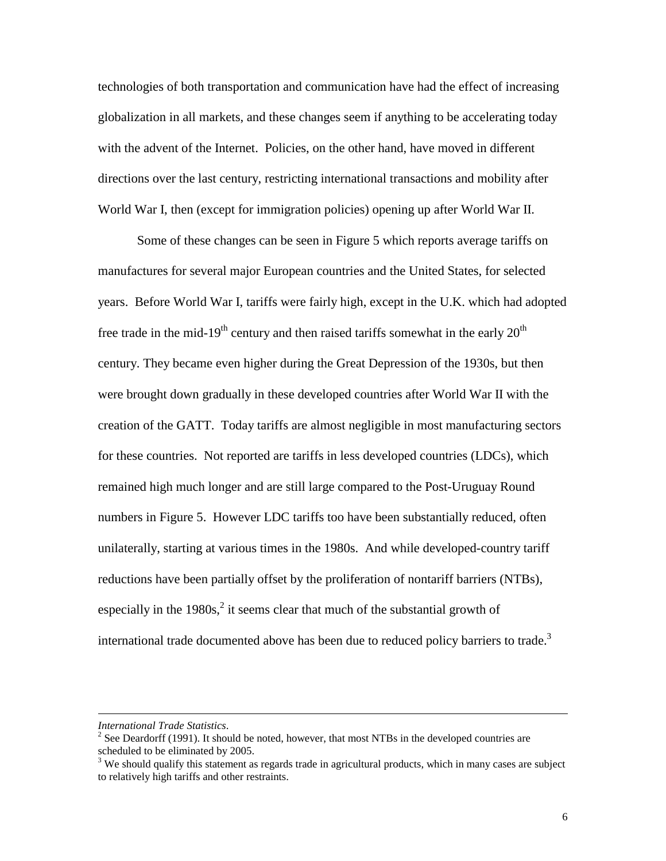technologies of both transportation and communication have had the effect of increasing globalization in all markets, and these changes seem if anything to be accelerating today with the advent of the Internet. Policies, on the other hand, have moved in different directions over the last century, restricting international transactions and mobility after World War I, then (except for immigration policies) opening up after World War II.

Some of these changes can be seen in Figure 5 which reports average tariffs on manufactures for several major European countries and the United States, for selected years. Before World War I, tariffs were fairly high, except in the U.K. which had adopted free trade in the mid-19<sup>th</sup> century and then raised tariffs somewhat in the early  $20<sup>th</sup>$ century. They became even higher during the Great Depression of the 1930s, but then were brought down gradually in these developed countries after World War II with the creation of the GATT. Today tariffs are almost negligible in most manufacturing sectors for these countries. Not reported are tariffs in less developed countries (LDCs), which remained high much longer and are still large compared to the Post-Uruguay Round numbers in Figure 5. However LDC tariffs too have been substantially reduced, often unilaterally, starting at various times in the 1980s. And while developed-country tariff reductions have been partially offset by the proliferation of nontariff barriers (NTBs), especially in the 1980s, $2$  it seems clear that much of the substantial growth of international trade documented above has been due to reduced policy barriers to trade.<sup>3</sup>

*International Trade Statistics*. 2

 $2$  See Deardorff (1991). It should be noted, however, that most NTBs in the developed countries are scheduled to be eliminated by 2005.

 $3$  We should qualify this statement as regards trade in agricultural products, which in many cases are subject to relatively high tariffs and other restraints.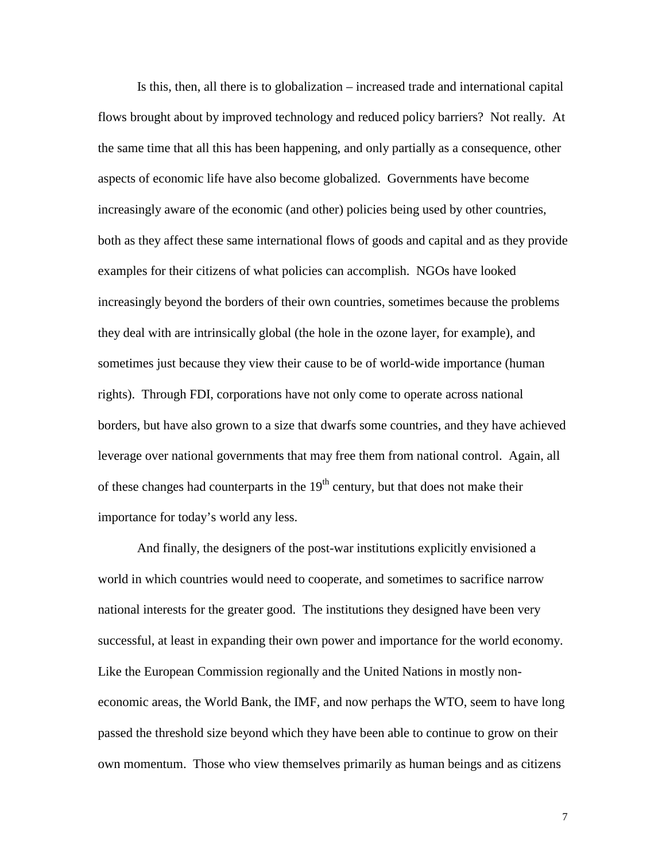Is this, then, all there is to globalization – increased trade and international capital flows brought about by improved technology and reduced policy barriers? Not really. At the same time that all this has been happening, and only partially as a consequence, other aspects of economic life have also become globalized. Governments have become increasingly aware of the economic (and other) policies being used by other countries, both as they affect these same international flows of goods and capital and as they provide examples for their citizens of what policies can accomplish. NGOs have looked increasingly beyond the borders of their own countries, sometimes because the problems they deal with are intrinsically global (the hole in the ozone layer, for example), and sometimes just because they view their cause to be of world-wide importance (human rights). Through FDI, corporations have not only come to operate across national borders, but have also grown to a size that dwarfs some countries, and they have achieved leverage over national governments that may free them from national control. Again, all of these changes had counterparts in the  $19<sup>th</sup>$  century, but that does not make their importance for today's world any less.

And finally, the designers of the post-war institutions explicitly envisioned a world in which countries would need to cooperate, and sometimes to sacrifice narrow national interests for the greater good. The institutions they designed have been very successful, at least in expanding their own power and importance for the world economy. Like the European Commission regionally and the United Nations in mostly noneconomic areas, the World Bank, the IMF, and now perhaps the WTO, seem to have long passed the threshold size beyond which they have been able to continue to grow on their own momentum. Those who view themselves primarily as human beings and as citizens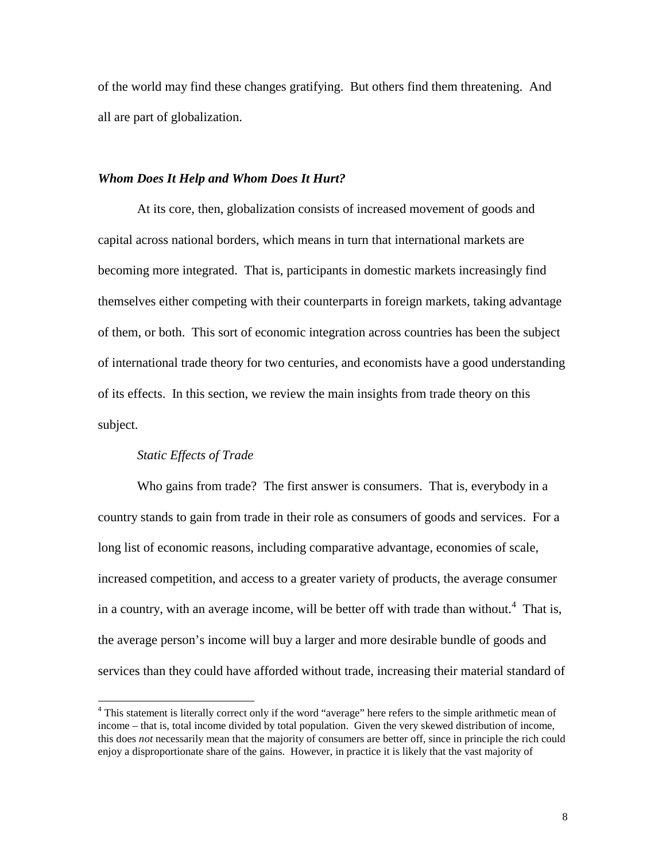of the world may find these changes gratifying. But others find them threatening. And all are part of globalization.

#### *Whom Does It Help and Whom Does It Hurt?*

At its core, then, globalization consists of increased movement of goods and capital across national borders, which means in turn that international markets are becoming more integrated. That is, participants in domestic markets increasingly find themselves either competing with their counterparts in foreign markets, taking advantage of them, or both. This sort of economic integration across countries has been the subject of international trade theory for two centuries, and economists have a good understanding of its effects. In this section, we review the main insights from trade theory on this subject.

#### *Static Effects of Trade*

 $\overline{a}$ 

Who gains from trade? The first answer is consumers. That is, everybody in a country stands to gain from trade in their role as consumers of goods and services. For a long list of economic reasons, including comparative advantage, economies of scale, increased competition, and access to a greater variety of products, the average consumer in a country, with an average income, will be better off with trade than without.<sup>4</sup> That is, the average person's income will buy a larger and more desirable bundle of goods and services than they could have afforded without trade, increasing their material standard of

<sup>&</sup>lt;sup>4</sup> This statement is literally correct only if the word "average" here refers to the simple arithmetic mean of income – that is, total income divided by total population. Given the very skewed distribution of income, this does *not* necessarily mean that the majority of consumers are better off, since in principle the rich could enjoy a disproportionate share of the gains. However, in practice it is likely that the vast majority of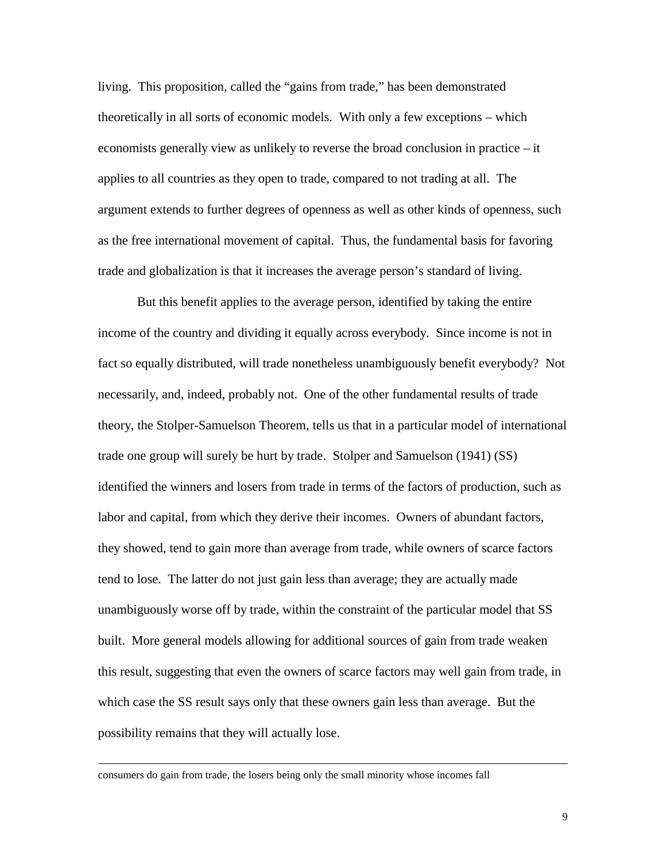living. This proposition, called the "gains from trade," has been demonstrated theoretically in all sorts of economic models. With only a few exceptions – which economists generally view as unlikely to reverse the broad conclusion in practice – it applies to all countries as they open to trade, compared to not trading at all. The argument extends to further degrees of openness as well as other kinds of openness, such as the free international movement of capital. Thus, the fundamental basis for favoring trade and globalization is that it increases the average person's standard of living.

But this benefit applies to the average person, identified by taking the entire income of the country and dividing it equally across everybody. Since income is not in fact so equally distributed, will trade nonetheless unambiguously benefit everybody? Not necessarily, and, indeed, probably not. One of the other fundamental results of trade theory, the Stolper-Samuelson Theorem, tells us that in a particular model of international trade one group will surely be hurt by trade. Stolper and Samuelson (1941) (SS) identified the winners and losers from trade in terms of the factors of production, such as labor and capital, from which they derive their incomes. Owners of abundant factors, they showed, tend to gain more than average from trade, while owners of scarce factors tend to lose. The latter do not just gain less than average; they are actually made unambiguously worse off by trade, within the constraint of the particular model that SS built. More general models allowing for additional sources of gain from trade weaken this result, suggesting that even the owners of scarce factors may well gain from trade, in which case the SS result says only that these owners gain less than average. But the possibility remains that they will actually lose.

consumers do gain from trade, the losers being only the small minority whose incomes fall

 $\overline{a}$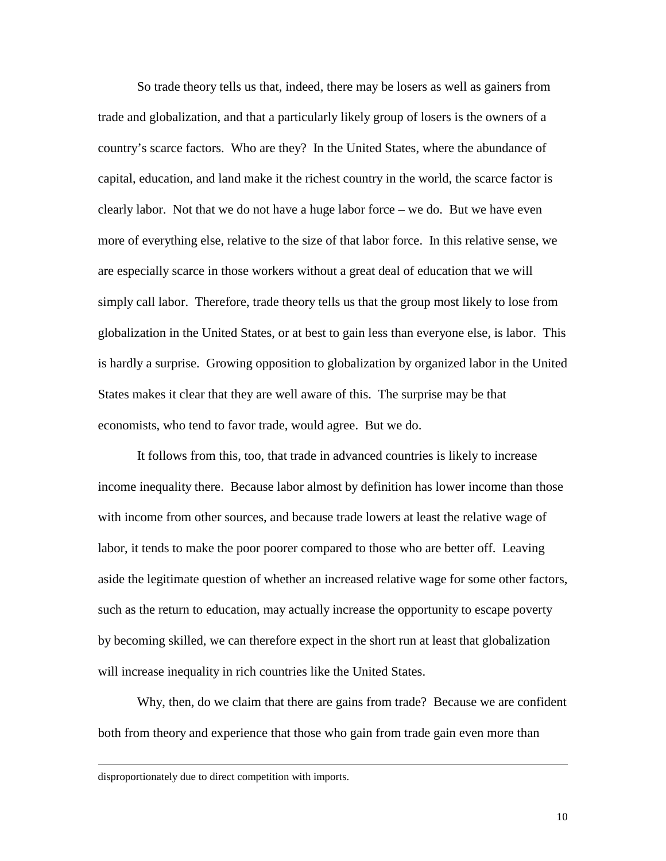So trade theory tells us that, indeed, there may be losers as well as gainers from trade and globalization, and that a particularly likely group of losers is the owners of a country's scarce factors. Who are they? In the United States, where the abundance of capital, education, and land make it the richest country in the world, the scarce factor is clearly labor. Not that we do not have a huge labor force – we do. But we have even more of everything else, relative to the size of that labor force. In this relative sense, we are especially scarce in those workers without a great deal of education that we will simply call labor. Therefore, trade theory tells us that the group most likely to lose from globalization in the United States, or at best to gain less than everyone else, is labor. This is hardly a surprise. Growing opposition to globalization by organized labor in the United States makes it clear that they are well aware of this. The surprise may be that economists, who tend to favor trade, would agree. But we do.

It follows from this, too, that trade in advanced countries is likely to increase income inequality there. Because labor almost by definition has lower income than those with income from other sources, and because trade lowers at least the relative wage of labor, it tends to make the poor poorer compared to those who are better off. Leaving aside the legitimate question of whether an increased relative wage for some other factors, such as the return to education, may actually increase the opportunity to escape poverty by becoming skilled, we can therefore expect in the short run at least that globalization will increase inequality in rich countries like the United States.

Why, then, do we claim that there are gains from trade? Because we are confident both from theory and experience that those who gain from trade gain even more than

disproportionately due to direct competition with imports.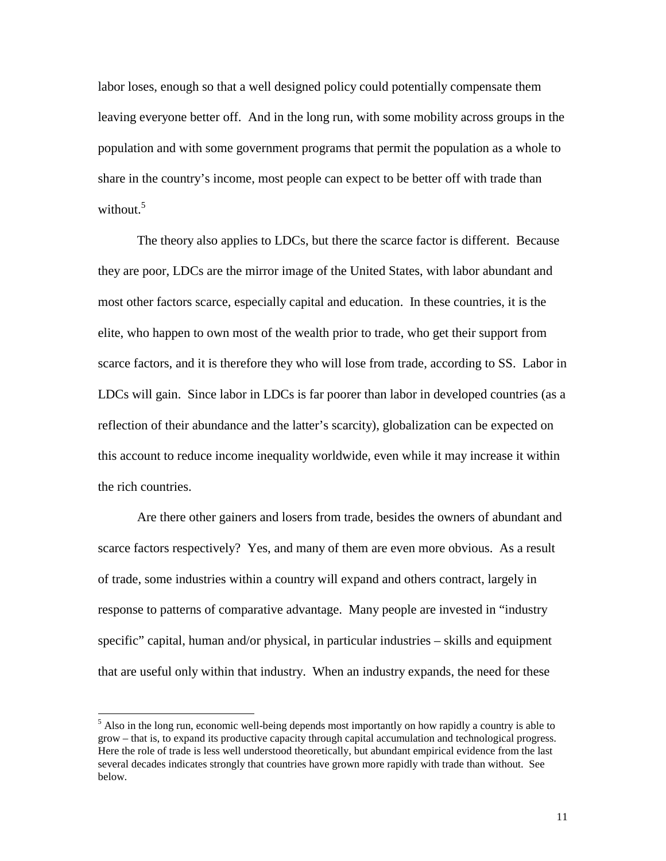labor loses, enough so that a well designed policy could potentially compensate them leaving everyone better off. And in the long run, with some mobility across groups in the population and with some government programs that permit the population as a whole to share in the country's income, most people can expect to be better off with trade than without. $5$ 

The theory also applies to LDCs, but there the scarce factor is different. Because they are poor, LDCs are the mirror image of the United States, with labor abundant and most other factors scarce, especially capital and education. In these countries, it is the elite, who happen to own most of the wealth prior to trade, who get their support from scarce factors, and it is therefore they who will lose from trade, according to SS. Labor in LDCs will gain. Since labor in LDCs is far poorer than labor in developed countries (as a reflection of their abundance and the latter's scarcity), globalization can be expected on this account to reduce income inequality worldwide, even while it may increase it within the rich countries.

Are there other gainers and losers from trade, besides the owners of abundant and scarce factors respectively? Yes, and many of them are even more obvious. As a result of trade, some industries within a country will expand and others contract, largely in response to patterns of comparative advantage. Many people are invested in "industry specific" capital, human and/or physical, in particular industries – skills and equipment that are useful only within that industry. When an industry expands, the need for these

<sup>&</sup>lt;sup>5</sup> Also in the long run, economic well-being depends most importantly on how rapidly a country is able to grow – that is, to expand its productive capacity through capital accumulation and technological progress. Here the role of trade is less well understood theoretically, but abundant empirical evidence from the last several decades indicates strongly that countries have grown more rapidly with trade than without. See below.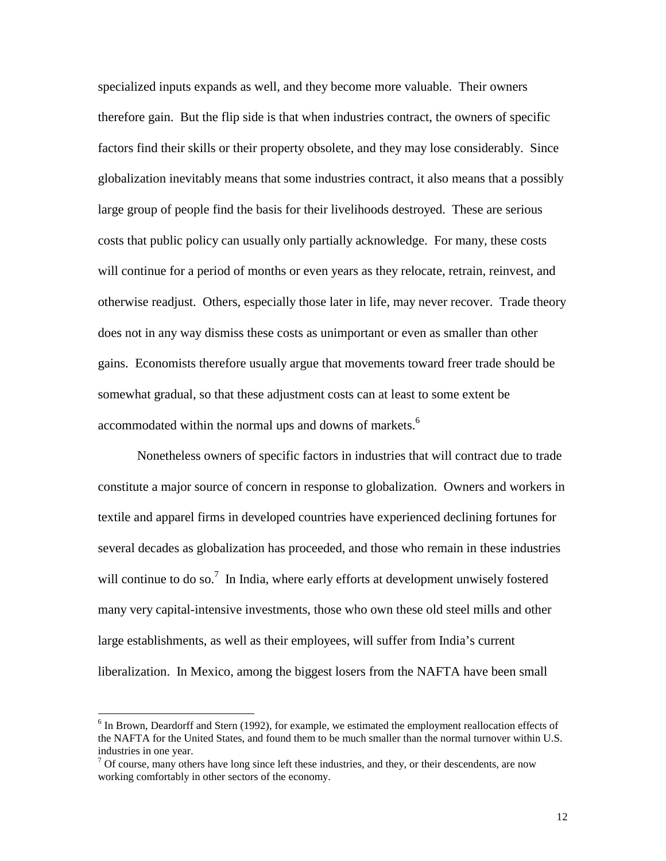specialized inputs expands as well, and they become more valuable. Their owners therefore gain. But the flip side is that when industries contract, the owners of specific factors find their skills or their property obsolete, and they may lose considerably. Since globalization inevitably means that some industries contract, it also means that a possibly large group of people find the basis for their livelihoods destroyed. These are serious costs that public policy can usually only partially acknowledge. For many, these costs will continue for a period of months or even years as they relocate, retrain, reinvest, and otherwise readjust. Others, especially those later in life, may never recover. Trade theory does not in any way dismiss these costs as unimportant or even as smaller than other gains. Economists therefore usually argue that movements toward freer trade should be somewhat gradual, so that these adjustment costs can at least to some extent be accommodated within the normal ups and downs of markets.<sup>6</sup>

Nonetheless owners of specific factors in industries that will contract due to trade constitute a major source of concern in response to globalization. Owners and workers in textile and apparel firms in developed countries have experienced declining fortunes for several decades as globalization has proceeded, and those who remain in these industries will continue to do so.<sup>7</sup> In India, where early efforts at development unwisely fostered many very capital-intensive investments, those who own these old steel mills and other large establishments, as well as their employees, will suffer from India's current liberalization. In Mexico, among the biggest losers from the NAFTA have been small

<sup>&</sup>lt;sup>6</sup> In Brown, Deardorff and Stern (1992), for example, we estimated the employment reallocation effects of the NAFTA for the United States, and found them to be much smaller than the normal turnover within U.S. industries in one year.

 $<sup>7</sup>$  Of course, many others have long since left these industries, and they, or their descendents, are now</sup> working comfortably in other sectors of the economy.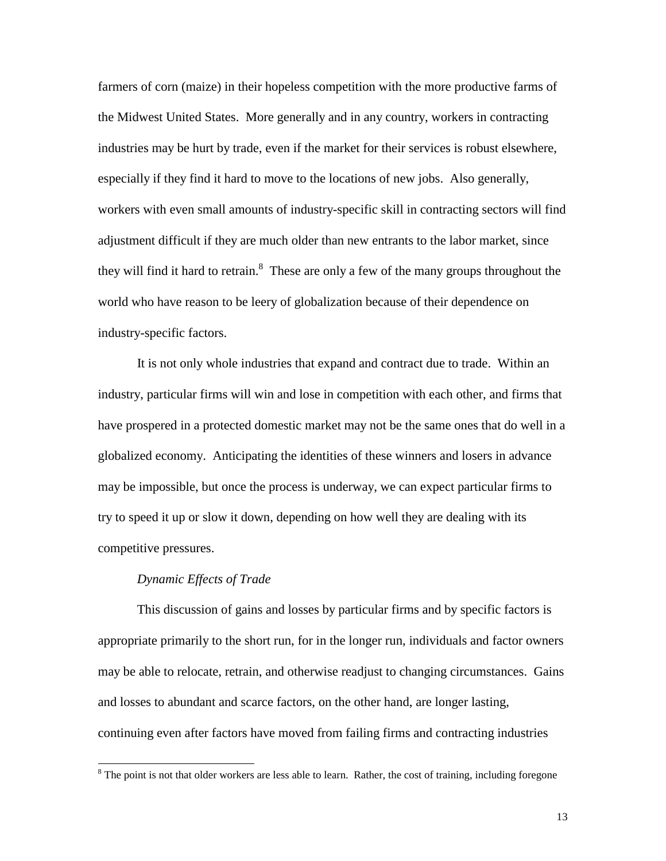farmers of corn (maize) in their hopeless competition with the more productive farms of the Midwest United States. More generally and in any country, workers in contracting industries may be hurt by trade, even if the market for their services is robust elsewhere, especially if they find it hard to move to the locations of new jobs. Also generally, workers with even small amounts of industry-specific skill in contracting sectors will find adjustment difficult if they are much older than new entrants to the labor market, since they will find it hard to retrain.<sup>8</sup> These are only a few of the many groups throughout the world who have reason to be leery of globalization because of their dependence on industry-specific factors.

It is not only whole industries that expand and contract due to trade. Within an industry, particular firms will win and lose in competition with each other, and firms that have prospered in a protected domestic market may not be the same ones that do well in a globalized economy. Anticipating the identities of these winners and losers in advance may be impossible, but once the process is underway, we can expect particular firms to try to speed it up or slow it down, depending on how well they are dealing with its competitive pressures.

#### *Dynamic Effects of Trade*

 $\overline{a}$ 

This discussion of gains and losses by particular firms and by specific factors is appropriate primarily to the short run, for in the longer run, individuals and factor owners may be able to relocate, retrain, and otherwise readjust to changing circumstances. Gains and losses to abundant and scarce factors, on the other hand, are longer lasting, continuing even after factors have moved from failing firms and contracting industries

<sup>&</sup>lt;sup>8</sup> The point is not that older workers are less able to learn. Rather, the cost of training, including foregone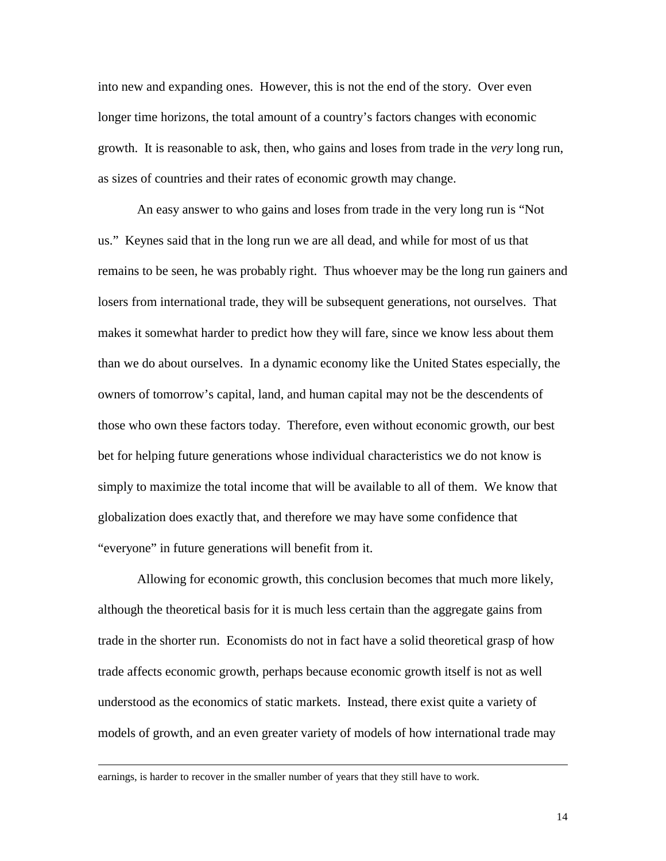into new and expanding ones. However, this is not the end of the story. Over even longer time horizons, the total amount of a country's factors changes with economic growth. It is reasonable to ask, then, who gains and loses from trade in the *very* long run, as sizes of countries and their rates of economic growth may change.

An easy answer to who gains and loses from trade in the very long run is "Not us." Keynes said that in the long run we are all dead, and while for most of us that remains to be seen, he was probably right. Thus whoever may be the long run gainers and losers from international trade, they will be subsequent generations, not ourselves. That makes it somewhat harder to predict how they will fare, since we know less about them than we do about ourselves. In a dynamic economy like the United States especially, the owners of tomorrow's capital, land, and human capital may not be the descendents of those who own these factors today. Therefore, even without economic growth, our best bet for helping future generations whose individual characteristics we do not know is simply to maximize the total income that will be available to all of them. We know that globalization does exactly that, and therefore we may have some confidence that "everyone" in future generations will benefit from it.

Allowing for economic growth, this conclusion becomes that much more likely, although the theoretical basis for it is much less certain than the aggregate gains from trade in the shorter run. Economists do not in fact have a solid theoretical grasp of how trade affects economic growth, perhaps because economic growth itself is not as well understood as the economics of static markets. Instead, there exist quite a variety of models of growth, and an even greater variety of models of how international trade may

earnings, is harder to recover in the smaller number of years that they still have to work.

 $\overline{a}$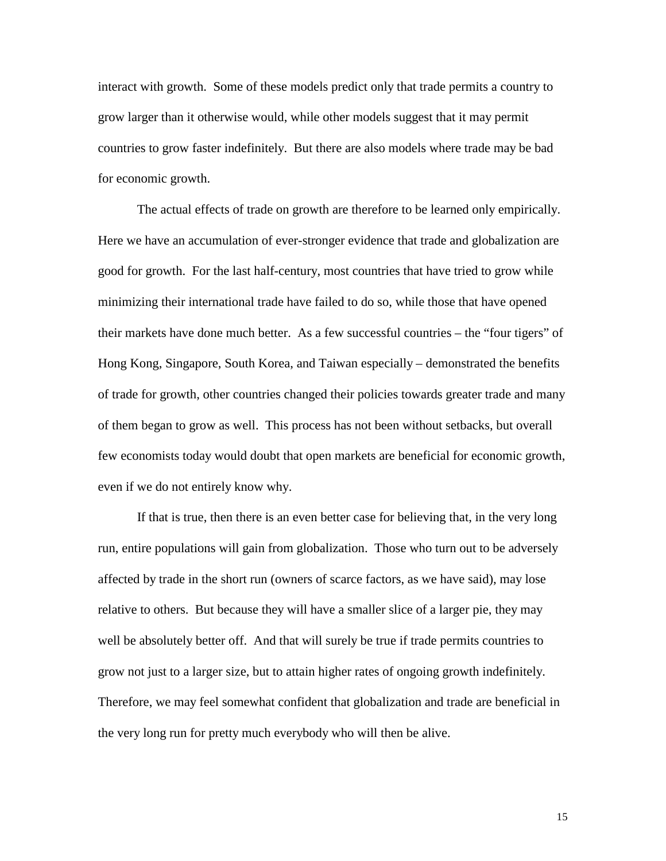interact with growth. Some of these models predict only that trade permits a country to grow larger than it otherwise would, while other models suggest that it may permit countries to grow faster indefinitely. But there are also models where trade may be bad for economic growth.

The actual effects of trade on growth are therefore to be learned only empirically. Here we have an accumulation of ever-stronger evidence that trade and globalization are good for growth. For the last half-century, most countries that have tried to grow while minimizing their international trade have failed to do so, while those that have opened their markets have done much better. As a few successful countries – the "four tigers" of Hong Kong, Singapore, South Korea, and Taiwan especially – demonstrated the benefits of trade for growth, other countries changed their policies towards greater trade and many of them began to grow as well. This process has not been without setbacks, but overall few economists today would doubt that open markets are beneficial for economic growth, even if we do not entirely know why.

If that is true, then there is an even better case for believing that, in the very long run, entire populations will gain from globalization. Those who turn out to be adversely affected by trade in the short run (owners of scarce factors, as we have said), may lose relative to others. But because they will have a smaller slice of a larger pie, they may well be absolutely better off. And that will surely be true if trade permits countries to grow not just to a larger size, but to attain higher rates of ongoing growth indefinitely. Therefore, we may feel somewhat confident that globalization and trade are beneficial in the very long run for pretty much everybody who will then be alive.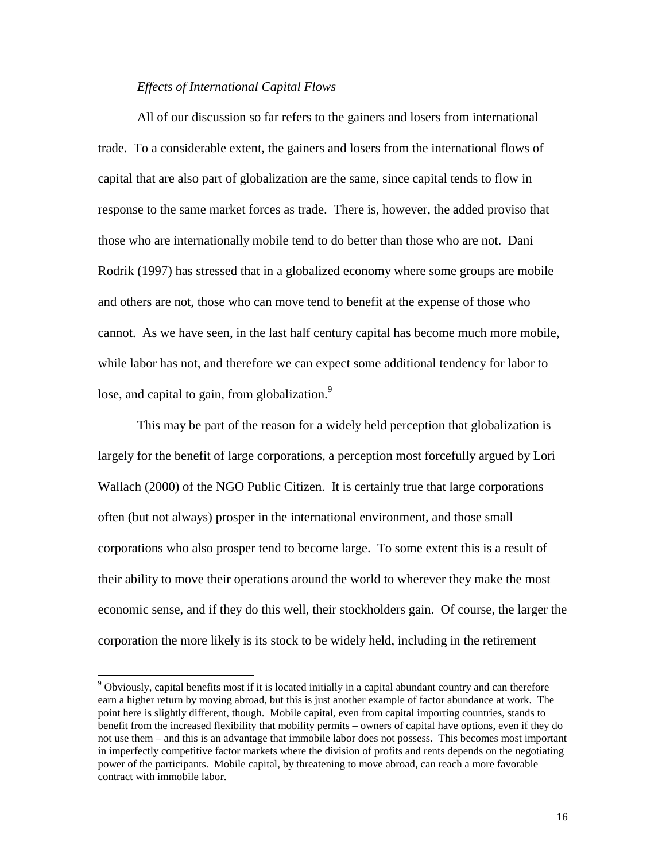#### *Effects of International Capital Flows*

All of our discussion so far refers to the gainers and losers from international trade. To a considerable extent, the gainers and losers from the international flows of capital that are also part of globalization are the same, since capital tends to flow in response to the same market forces as trade. There is, however, the added proviso that those who are internationally mobile tend to do better than those who are not. Dani Rodrik (1997) has stressed that in a globalized economy where some groups are mobile and others are not, those who can move tend to benefit at the expense of those who cannot. As we have seen, in the last half century capital has become much more mobile, while labor has not, and therefore we can expect some additional tendency for labor to lose, and capital to gain, from globalization.<sup>9</sup>

This may be part of the reason for a widely held perception that globalization is largely for the benefit of large corporations, a perception most forcefully argued by Lori Wallach (2000) of the NGO Public Citizen. It is certainly true that large corporations often (but not always) prosper in the international environment, and those small corporations who also prosper tend to become large. To some extent this is a result of their ability to move their operations around the world to wherever they make the most economic sense, and if they do this well, their stockholders gain. Of course, the larger the corporation the more likely is its stock to be widely held, including in the retirement

<sup>&</sup>lt;sup>9</sup> Obviously, capital benefits most if it is located initially in a capital abundant country and can therefore earn a higher return by moving abroad, but this is just another example of factor abundance at work. The point here is slightly different, though. Mobile capital, even from capital importing countries, stands to benefit from the increased flexibility that mobility permits – owners of capital have options, even if they do not use them – and this is an advantage that immobile labor does not possess. This becomes most important in imperfectly competitive factor markets where the division of profits and rents depends on the negotiating power of the participants. Mobile capital, by threatening to move abroad, can reach a more favorable contract with immobile labor.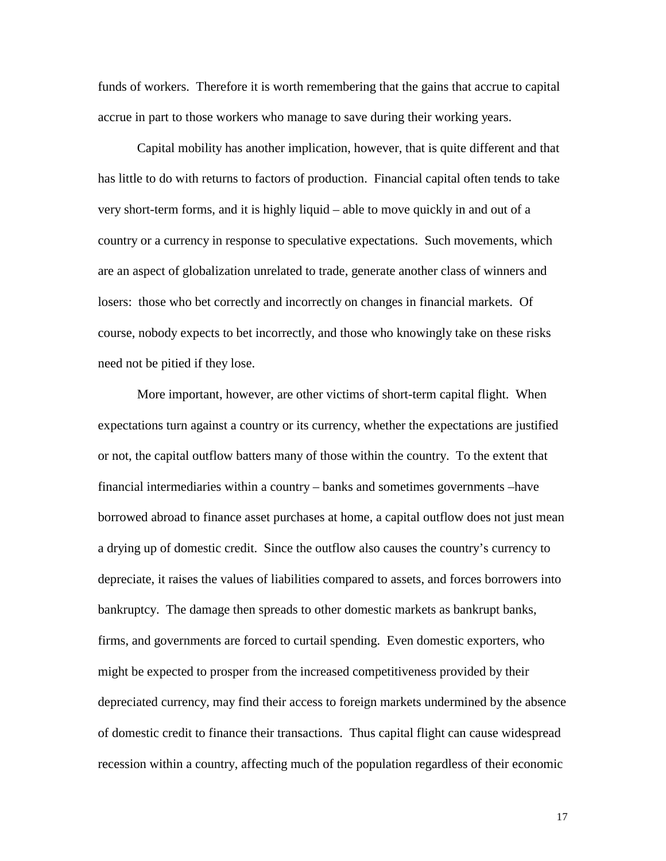funds of workers. Therefore it is worth remembering that the gains that accrue to capital accrue in part to those workers who manage to save during their working years.

Capital mobility has another implication, however, that is quite different and that has little to do with returns to factors of production. Financial capital often tends to take very short-term forms, and it is highly liquid – able to move quickly in and out of a country or a currency in response to speculative expectations. Such movements, which are an aspect of globalization unrelated to trade, generate another class of winners and losers: those who bet correctly and incorrectly on changes in financial markets. Of course, nobody expects to bet incorrectly, and those who knowingly take on these risks need not be pitied if they lose.

More important, however, are other victims of short-term capital flight. When expectations turn against a country or its currency, whether the expectations are justified or not, the capital outflow batters many of those within the country. To the extent that financial intermediaries within a country – banks and sometimes governments –have borrowed abroad to finance asset purchases at home, a capital outflow does not just mean a drying up of domestic credit. Since the outflow also causes the country's currency to depreciate, it raises the values of liabilities compared to assets, and forces borrowers into bankruptcy. The damage then spreads to other domestic markets as bankrupt banks, firms, and governments are forced to curtail spending. Even domestic exporters, who might be expected to prosper from the increased competitiveness provided by their depreciated currency, may find their access to foreign markets undermined by the absence of domestic credit to finance their transactions. Thus capital flight can cause widespread recession within a country, affecting much of the population regardless of their economic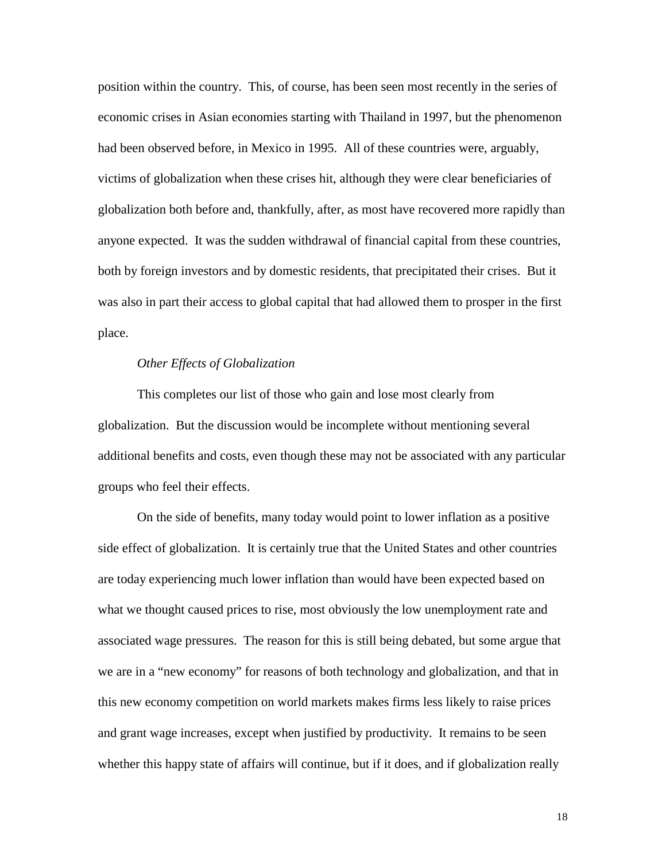position within the country. This, of course, has been seen most recently in the series of economic crises in Asian economies starting with Thailand in 1997, but the phenomenon had been observed before, in Mexico in 1995. All of these countries were, arguably, victims of globalization when these crises hit, although they were clear beneficiaries of globalization both before and, thankfully, after, as most have recovered more rapidly than anyone expected. It was the sudden withdrawal of financial capital from these countries, both by foreign investors and by domestic residents, that precipitated their crises. But it was also in part their access to global capital that had allowed them to prosper in the first place.

#### *Other Effects of Globalization*

This completes our list of those who gain and lose most clearly from globalization. But the discussion would be incomplete without mentioning several additional benefits and costs, even though these may not be associated with any particular groups who feel their effects.

On the side of benefits, many today would point to lower inflation as a positive side effect of globalization. It is certainly true that the United States and other countries are today experiencing much lower inflation than would have been expected based on what we thought caused prices to rise, most obviously the low unemployment rate and associated wage pressures. The reason for this is still being debated, but some argue that we are in a "new economy" for reasons of both technology and globalization, and that in this new economy competition on world markets makes firms less likely to raise prices and grant wage increases, except when justified by productivity. It remains to be seen whether this happy state of affairs will continue, but if it does, and if globalization really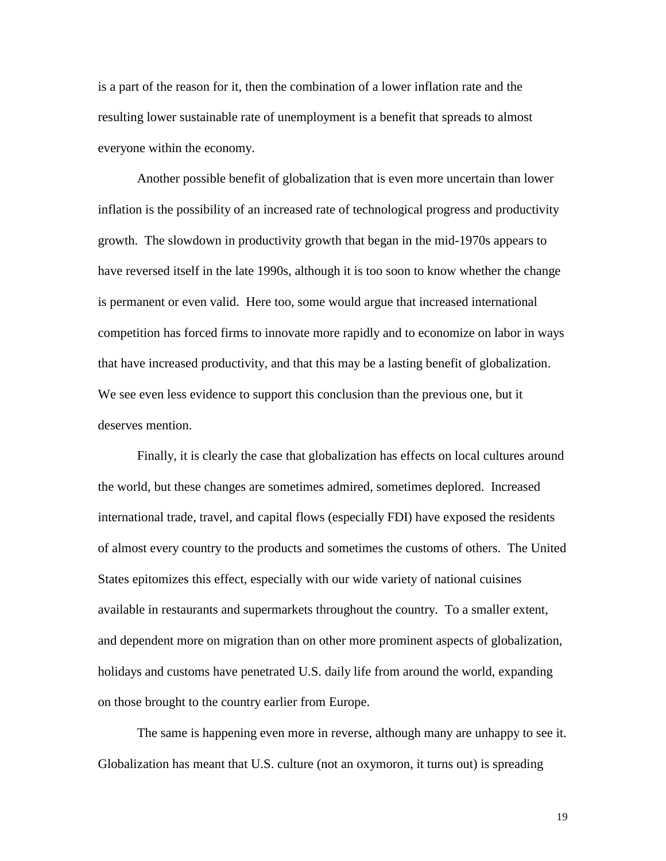is a part of the reason for it, then the combination of a lower inflation rate and the resulting lower sustainable rate of unemployment is a benefit that spreads to almost everyone within the economy.

Another possible benefit of globalization that is even more uncertain than lower inflation is the possibility of an increased rate of technological progress and productivity growth. The slowdown in productivity growth that began in the mid-1970s appears to have reversed itself in the late 1990s, although it is too soon to know whether the change is permanent or even valid. Here too, some would argue that increased international competition has forced firms to innovate more rapidly and to economize on labor in ways that have increased productivity, and that this may be a lasting benefit of globalization. We see even less evidence to support this conclusion than the previous one, but it deserves mention.

Finally, it is clearly the case that globalization has effects on local cultures around the world, but these changes are sometimes admired, sometimes deplored. Increased international trade, travel, and capital flows (especially FDI) have exposed the residents of almost every country to the products and sometimes the customs of others. The United States epitomizes this effect, especially with our wide variety of national cuisines available in restaurants and supermarkets throughout the country. To a smaller extent, and dependent more on migration than on other more prominent aspects of globalization, holidays and customs have penetrated U.S. daily life from around the world, expanding on those brought to the country earlier from Europe.

The same is happening even more in reverse, although many are unhappy to see it. Globalization has meant that U.S. culture (not an oxymoron, it turns out) is spreading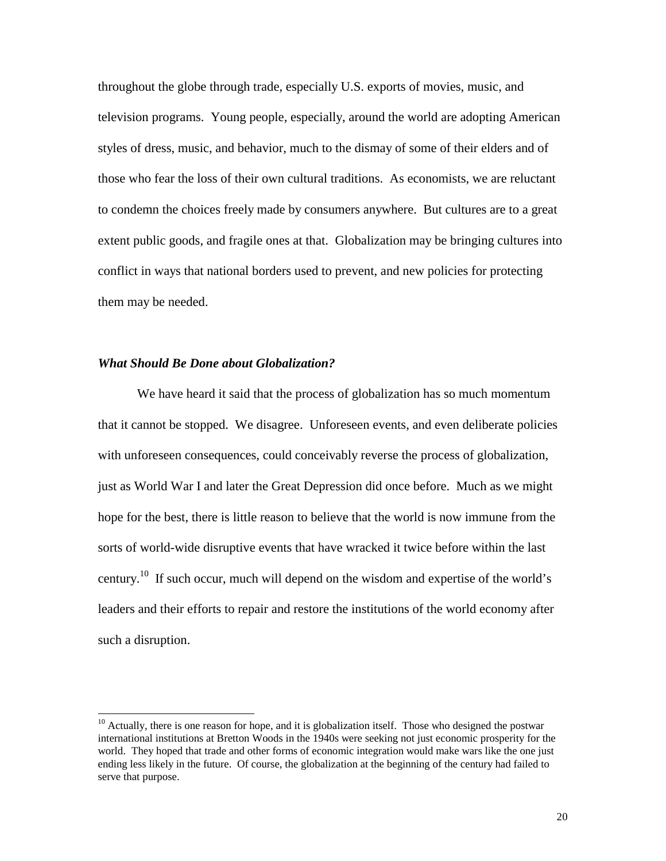throughout the globe through trade, especially U.S. exports of movies, music, and television programs. Young people, especially, around the world are adopting American styles of dress, music, and behavior, much to the dismay of some of their elders and of those who fear the loss of their own cultural traditions. As economists, we are reluctant to condemn the choices freely made by consumers anywhere. But cultures are to a great extent public goods, and fragile ones at that. Globalization may be bringing cultures into conflict in ways that national borders used to prevent, and new policies for protecting them may be needed.

#### *What Should Be Done about Globalization?*

 $\overline{a}$ 

We have heard it said that the process of globalization has so much momentum that it cannot be stopped. We disagree. Unforeseen events, and even deliberate policies with unforeseen consequences, could conceivably reverse the process of globalization, just as World War I and later the Great Depression did once before. Much as we might hope for the best, there is little reason to believe that the world is now immune from the sorts of world-wide disruptive events that have wracked it twice before within the last century.10 If such occur, much will depend on the wisdom and expertise of the world's leaders and their efforts to repair and restore the institutions of the world economy after such a disruption.

 $10$  Actually, there is one reason for hope, and it is globalization itself. Those who designed the postwar international institutions at Bretton Woods in the 1940s were seeking not just economic prosperity for the world. They hoped that trade and other forms of economic integration would make wars like the one just ending less likely in the future. Of course, the globalization at the beginning of the century had failed to serve that purpose.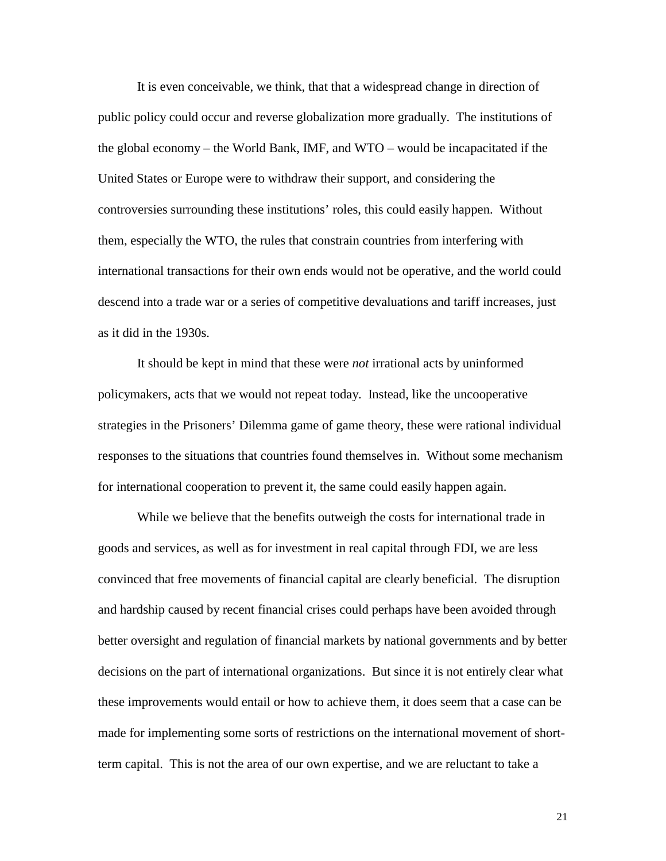It is even conceivable, we think, that that a widespread change in direction of public policy could occur and reverse globalization more gradually. The institutions of the global economy – the World Bank, IMF, and WTO – would be incapacitated if the United States or Europe were to withdraw their support, and considering the controversies surrounding these institutions' roles, this could easily happen. Without them, especially the WTO, the rules that constrain countries from interfering with international transactions for their own ends would not be operative, and the world could descend into a trade war or a series of competitive devaluations and tariff increases, just as it did in the 1930s.

It should be kept in mind that these were *not* irrational acts by uninformed policymakers, acts that we would not repeat today. Instead, like the uncooperative strategies in the Prisoners' Dilemma game of game theory, these were rational individual responses to the situations that countries found themselves in. Without some mechanism for international cooperation to prevent it, the same could easily happen again.

While we believe that the benefits outweigh the costs for international trade in goods and services, as well as for investment in real capital through FDI, we are less convinced that free movements of financial capital are clearly beneficial. The disruption and hardship caused by recent financial crises could perhaps have been avoided through better oversight and regulation of financial markets by national governments and by better decisions on the part of international organizations. But since it is not entirely clear what these improvements would entail or how to achieve them, it does seem that a case can be made for implementing some sorts of restrictions on the international movement of shortterm capital. This is not the area of our own expertise, and we are reluctant to take a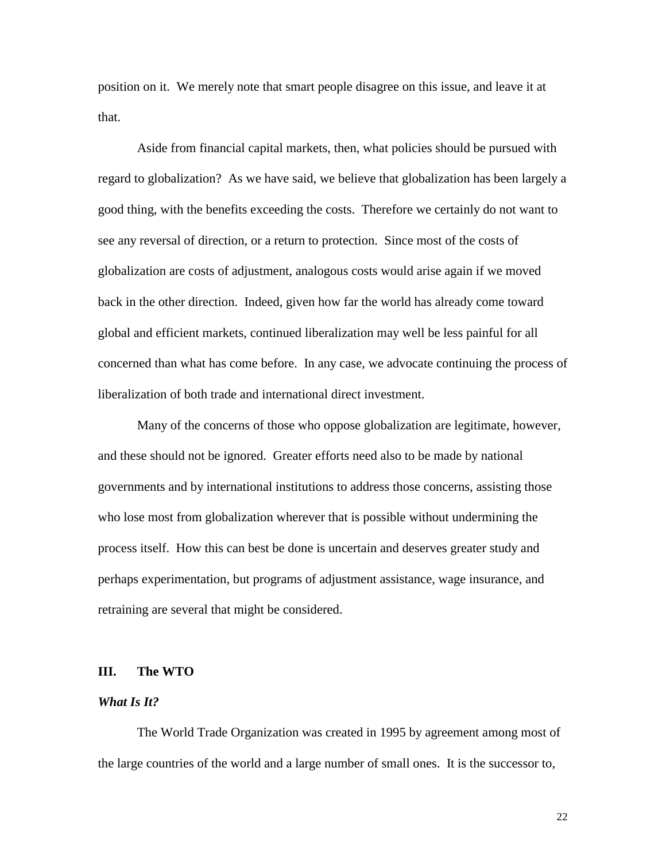position on it. We merely note that smart people disagree on this issue, and leave it at that.

Aside from financial capital markets, then, what policies should be pursued with regard to globalization? As we have said, we believe that globalization has been largely a good thing, with the benefits exceeding the costs. Therefore we certainly do not want to see any reversal of direction, or a return to protection. Since most of the costs of globalization are costs of adjustment, analogous costs would arise again if we moved back in the other direction. Indeed, given how far the world has already come toward global and efficient markets, continued liberalization may well be less painful for all concerned than what has come before. In any case, we advocate continuing the process of liberalization of both trade and international direct investment.

Many of the concerns of those who oppose globalization are legitimate, however, and these should not be ignored. Greater efforts need also to be made by national governments and by international institutions to address those concerns, assisting those who lose most from globalization wherever that is possible without undermining the process itself. How this can best be done is uncertain and deserves greater study and perhaps experimentation, but programs of adjustment assistance, wage insurance, and retraining are several that might be considered.

#### **III. The WTO**

#### *What Is It?*

The World Trade Organization was created in 1995 by agreement among most of the large countries of the world and a large number of small ones. It is the successor to,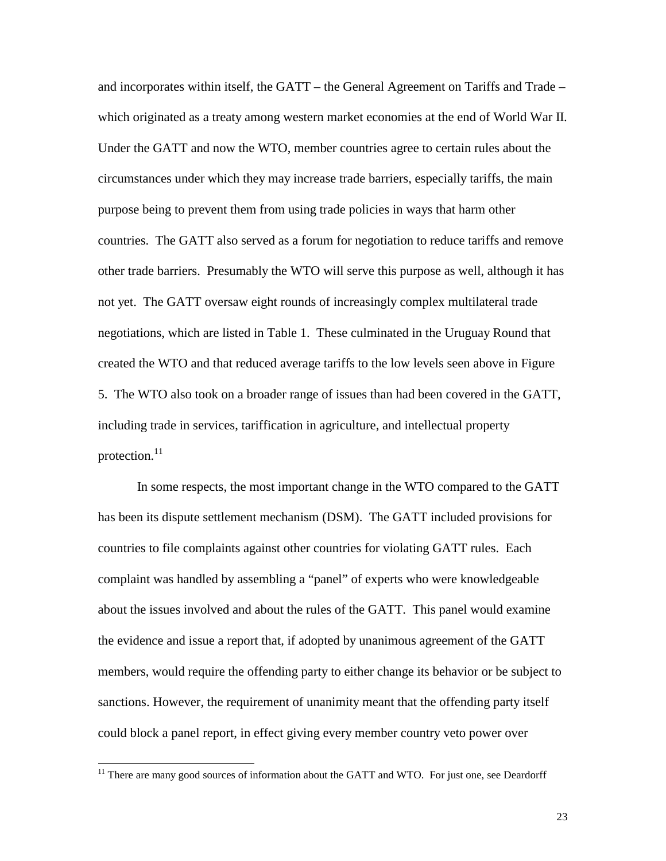and incorporates within itself, the GATT – the General Agreement on Tariffs and Trade – which originated as a treaty among western market economies at the end of World War II. Under the GATT and now the WTO, member countries agree to certain rules about the circumstances under which they may increase trade barriers, especially tariffs, the main purpose being to prevent them from using trade policies in ways that harm other countries. The GATT also served as a forum for negotiation to reduce tariffs and remove other trade barriers. Presumably the WTO will serve this purpose as well, although it has not yet. The GATT oversaw eight rounds of increasingly complex multilateral trade negotiations, which are listed in Table 1. These culminated in the Uruguay Round that created the WTO and that reduced average tariffs to the low levels seen above in Figure 5. The WTO also took on a broader range of issues than had been covered in the GATT, including trade in services, tariffication in agriculture, and intellectual property protection. $^{11}$ 

In some respects, the most important change in the WTO compared to the GATT has been its dispute settlement mechanism (DSM). The GATT included provisions for countries to file complaints against other countries for violating GATT rules. Each complaint was handled by assembling a "panel" of experts who were knowledgeable about the issues involved and about the rules of the GATT. This panel would examine the evidence and issue a report that, if adopted by unanimous agreement of the GATT members, would require the offending party to either change its behavior or be subject to sanctions. However, the requirement of unanimity meant that the offending party itself could block a panel report, in effect giving every member country veto power over

 $\overline{a}$ 

<sup>&</sup>lt;sup>11</sup> There are many good sources of information about the GATT and WTO. For just one, see Deardorff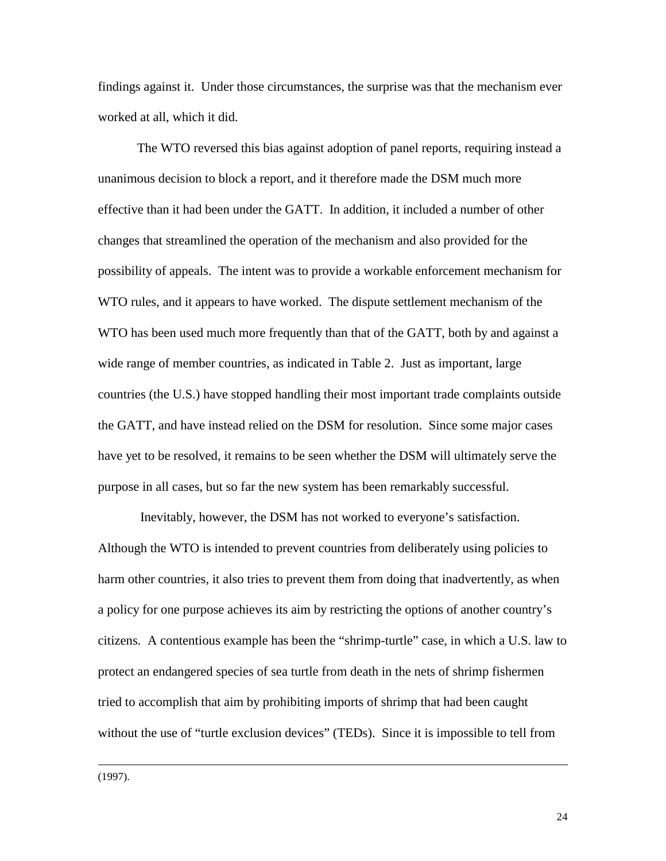findings against it. Under those circumstances, the surprise was that the mechanism ever worked at all, which it did.

The WTO reversed this bias against adoption of panel reports, requiring instead a unanimous decision to block a report, and it therefore made the DSM much more effective than it had been under the GATT. In addition, it included a number of other changes that streamlined the operation of the mechanism and also provided for the possibility of appeals. The intent was to provide a workable enforcement mechanism for WTO rules, and it appears to have worked. The dispute settlement mechanism of the WTO has been used much more frequently than that of the GATT, both by and against a wide range of member countries, as indicated in Table 2. Just as important, large countries (the U.S.) have stopped handling their most important trade complaints outside the GATT, and have instead relied on the DSM for resolution. Since some major cases have yet to be resolved, it remains to be seen whether the DSM will ultimately serve the purpose in all cases, but so far the new system has been remarkably successful.

 Inevitably, however, the DSM has not worked to everyone's satisfaction. Although the WTO is intended to prevent countries from deliberately using policies to harm other countries, it also tries to prevent them from doing that inadvertently, as when a policy for one purpose achieves its aim by restricting the options of another country's citizens. A contentious example has been the "shrimp-turtle" case, in which a U.S. law to protect an endangered species of sea turtle from death in the nets of shrimp fishermen tried to accomplish that aim by prohibiting imports of shrimp that had been caught without the use of "turtle exclusion devices" (TEDs). Since it is impossible to tell from

(1997).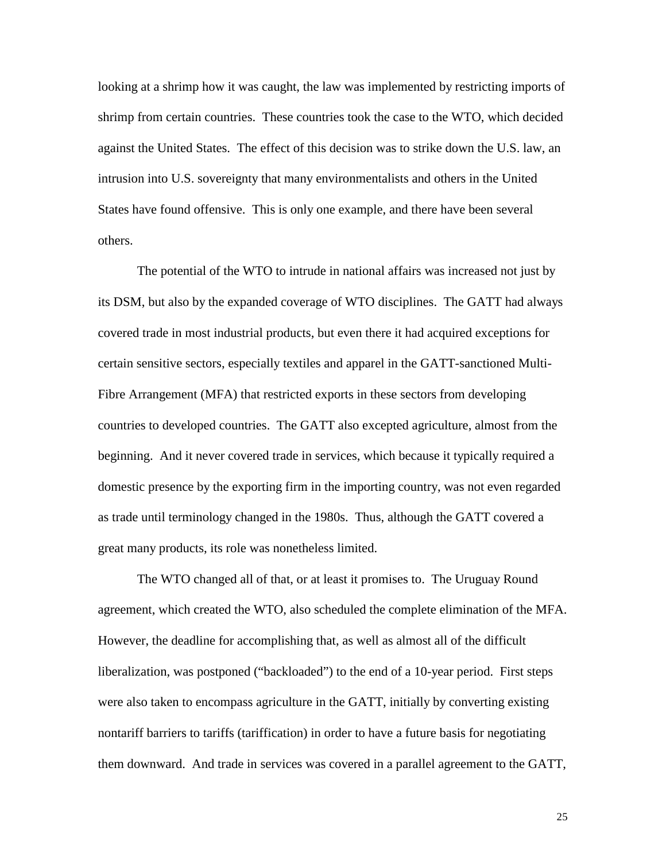looking at a shrimp how it was caught, the law was implemented by restricting imports of shrimp from certain countries. These countries took the case to the WTO, which decided against the United States. The effect of this decision was to strike down the U.S. law, an intrusion into U.S. sovereignty that many environmentalists and others in the United States have found offensive. This is only one example, and there have been several others.

The potential of the WTO to intrude in national affairs was increased not just by its DSM, but also by the expanded coverage of WTO disciplines. The GATT had always covered trade in most industrial products, but even there it had acquired exceptions for certain sensitive sectors, especially textiles and apparel in the GATT-sanctioned Multi-Fibre Arrangement (MFA) that restricted exports in these sectors from developing countries to developed countries. The GATT also excepted agriculture, almost from the beginning. And it never covered trade in services, which because it typically required a domestic presence by the exporting firm in the importing country, was not even regarded as trade until terminology changed in the 1980s. Thus, although the GATT covered a great many products, its role was nonetheless limited.

The WTO changed all of that, or at least it promises to. The Uruguay Round agreement, which created the WTO, also scheduled the complete elimination of the MFA. However, the deadline for accomplishing that, as well as almost all of the difficult liberalization, was postponed ("backloaded") to the end of a 10-year period. First steps were also taken to encompass agriculture in the GATT, initially by converting existing nontariff barriers to tariffs (tariffication) in order to have a future basis for negotiating them downward. And trade in services was covered in a parallel agreement to the GATT,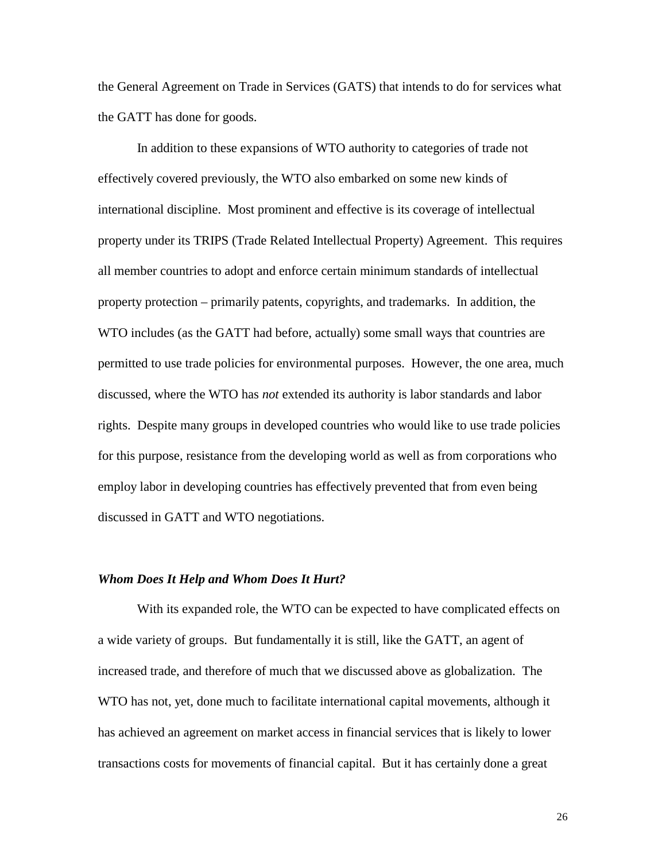the General Agreement on Trade in Services (GATS) that intends to do for services what the GATT has done for goods.

In addition to these expansions of WTO authority to categories of trade not effectively covered previously, the WTO also embarked on some new kinds of international discipline. Most prominent and effective is its coverage of intellectual property under its TRIPS (Trade Related Intellectual Property) Agreement. This requires all member countries to adopt and enforce certain minimum standards of intellectual property protection – primarily patents, copyrights, and trademarks. In addition, the WTO includes (as the GATT had before, actually) some small ways that countries are permitted to use trade policies for environmental purposes. However, the one area, much discussed, where the WTO has *not* extended its authority is labor standards and labor rights. Despite many groups in developed countries who would like to use trade policies for this purpose, resistance from the developing world as well as from corporations who employ labor in developing countries has effectively prevented that from even being discussed in GATT and WTO negotiations.

#### *Whom Does It Help and Whom Does It Hurt?*

With its expanded role, the WTO can be expected to have complicated effects on a wide variety of groups. But fundamentally it is still, like the GATT, an agent of increased trade, and therefore of much that we discussed above as globalization. The WTO has not, yet, done much to facilitate international capital movements, although it has achieved an agreement on market access in financial services that is likely to lower transactions costs for movements of financial capital. But it has certainly done a great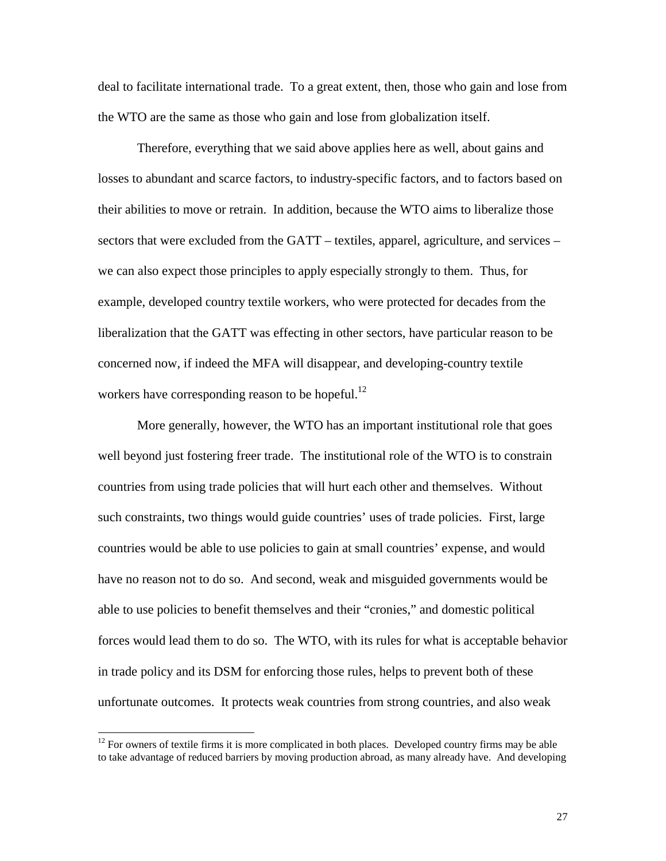deal to facilitate international trade. To a great extent, then, those who gain and lose from the WTO are the same as those who gain and lose from globalization itself.

Therefore, everything that we said above applies here as well, about gains and losses to abundant and scarce factors, to industry-specific factors, and to factors based on their abilities to move or retrain. In addition, because the WTO aims to liberalize those sectors that were excluded from the GATT – textiles, apparel, agriculture, and services – we can also expect those principles to apply especially strongly to them. Thus, for example, developed country textile workers, who were protected for decades from the liberalization that the GATT was effecting in other sectors, have particular reason to be concerned now, if indeed the MFA will disappear, and developing-country textile workers have corresponding reason to be hopeful.<sup>12</sup>

More generally, however, the WTO has an important institutional role that goes well beyond just fostering freer trade. The institutional role of the WTO is to constrain countries from using trade policies that will hurt each other and themselves. Without such constraints, two things would guide countries' uses of trade policies. First, large countries would be able to use policies to gain at small countries' expense, and would have no reason not to do so. And second, weak and misguided governments would be able to use policies to benefit themselves and their "cronies," and domestic political forces would lead them to do so. The WTO, with its rules for what is acceptable behavior in trade policy and its DSM for enforcing those rules, helps to prevent both of these unfortunate outcomes. It protects weak countries from strong countries, and also weak

 $12$  For owners of textile firms it is more complicated in both places. Developed country firms may be able to take advantage of reduced barriers by moving production abroad, as many already have. And developing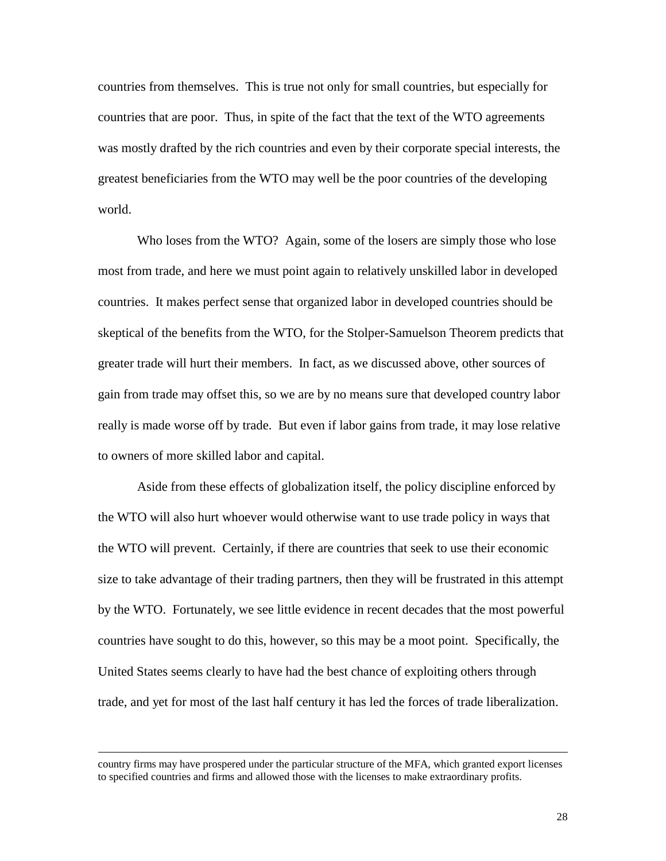countries from themselves. This is true not only for small countries, but especially for countries that are poor. Thus, in spite of the fact that the text of the WTO agreements was mostly drafted by the rich countries and even by their corporate special interests, the greatest beneficiaries from the WTO may well be the poor countries of the developing world.

Who loses from the WTO? Again, some of the losers are simply those who lose most from trade, and here we must point again to relatively unskilled labor in developed countries. It makes perfect sense that organized labor in developed countries should be skeptical of the benefits from the WTO, for the Stolper-Samuelson Theorem predicts that greater trade will hurt their members. In fact, as we discussed above, other sources of gain from trade may offset this, so we are by no means sure that developed country labor really is made worse off by trade. But even if labor gains from trade, it may lose relative to owners of more skilled labor and capital.

Aside from these effects of globalization itself, the policy discipline enforced by the WTO will also hurt whoever would otherwise want to use trade policy in ways that the WTO will prevent. Certainly, if there are countries that seek to use their economic size to take advantage of their trading partners, then they will be frustrated in this attempt by the WTO. Fortunately, we see little evidence in recent decades that the most powerful countries have sought to do this, however, so this may be a moot point. Specifically, the United States seems clearly to have had the best chance of exploiting others through trade, and yet for most of the last half century it has led the forces of trade liberalization.

country firms may have prospered under the particular structure of the MFA, which granted export licenses to specified countries and firms and allowed those with the licenses to make extraordinary profits.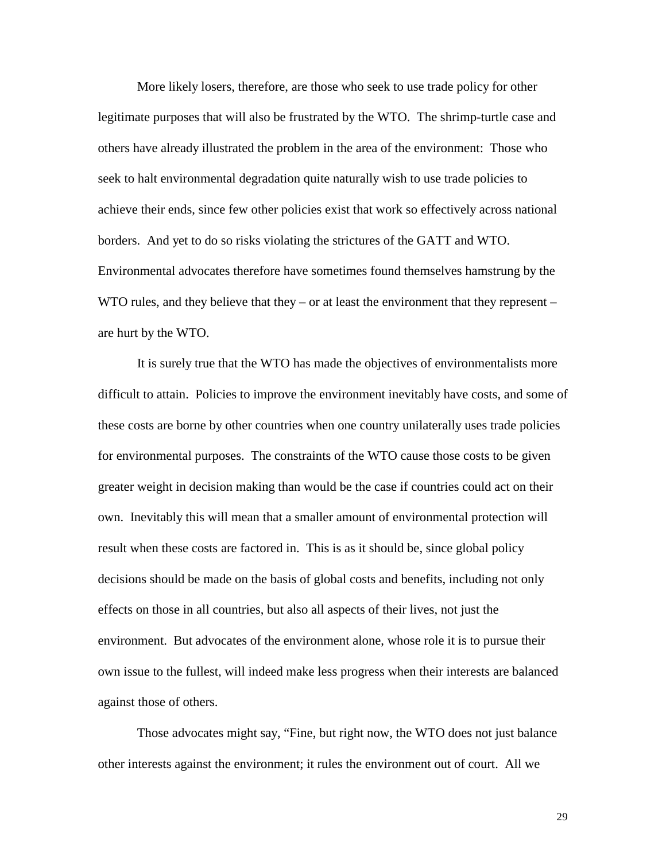More likely losers, therefore, are those who seek to use trade policy for other legitimate purposes that will also be frustrated by the WTO. The shrimp-turtle case and others have already illustrated the problem in the area of the environment: Those who seek to halt environmental degradation quite naturally wish to use trade policies to achieve their ends, since few other policies exist that work so effectively across national borders. And yet to do so risks violating the strictures of the GATT and WTO. Environmental advocates therefore have sometimes found themselves hamstrung by the WTO rules, and they believe that they – or at least the environment that they represent – are hurt by the WTO.

It is surely true that the WTO has made the objectives of environmentalists more difficult to attain. Policies to improve the environment inevitably have costs, and some of these costs are borne by other countries when one country unilaterally uses trade policies for environmental purposes. The constraints of the WTO cause those costs to be given greater weight in decision making than would be the case if countries could act on their own. Inevitably this will mean that a smaller amount of environmental protection will result when these costs are factored in. This is as it should be, since global policy decisions should be made on the basis of global costs and benefits, including not only effects on those in all countries, but also all aspects of their lives, not just the environment. But advocates of the environment alone, whose role it is to pursue their own issue to the fullest, will indeed make less progress when their interests are balanced against those of others.

Those advocates might say, "Fine, but right now, the WTO does not just balance other interests against the environment; it rules the environment out of court. All we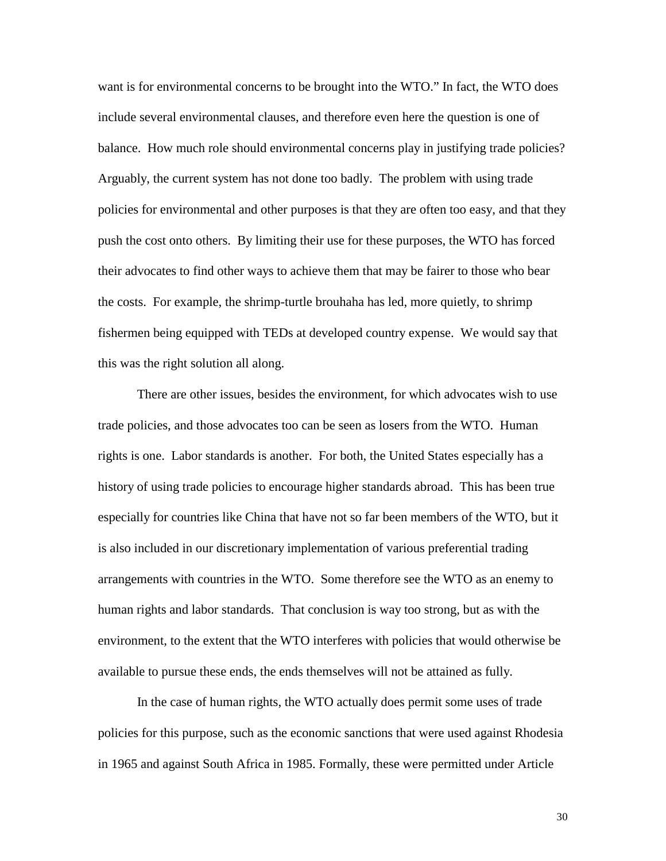want is for environmental concerns to be brought into the WTO." In fact, the WTO does include several environmental clauses, and therefore even here the question is one of balance. How much role should environmental concerns play in justifying trade policies? Arguably, the current system has not done too badly. The problem with using trade policies for environmental and other purposes is that they are often too easy, and that they push the cost onto others. By limiting their use for these purposes, the WTO has forced their advocates to find other ways to achieve them that may be fairer to those who bear the costs. For example, the shrimp-turtle brouhaha has led, more quietly, to shrimp fishermen being equipped with TEDs at developed country expense. We would say that this was the right solution all along.

There are other issues, besides the environment, for which advocates wish to use trade policies, and those advocates too can be seen as losers from the WTO. Human rights is one. Labor standards is another. For both, the United States especially has a history of using trade policies to encourage higher standards abroad. This has been true especially for countries like China that have not so far been members of the WTO, but it is also included in our discretionary implementation of various preferential trading arrangements with countries in the WTO. Some therefore see the WTO as an enemy to human rights and labor standards. That conclusion is way too strong, but as with the environment, to the extent that the WTO interferes with policies that would otherwise be available to pursue these ends, the ends themselves will not be attained as fully.

In the case of human rights, the WTO actually does permit some uses of trade policies for this purpose, such as the economic sanctions that were used against Rhodesia in 1965 and against South Africa in 1985. Formally, these were permitted under Article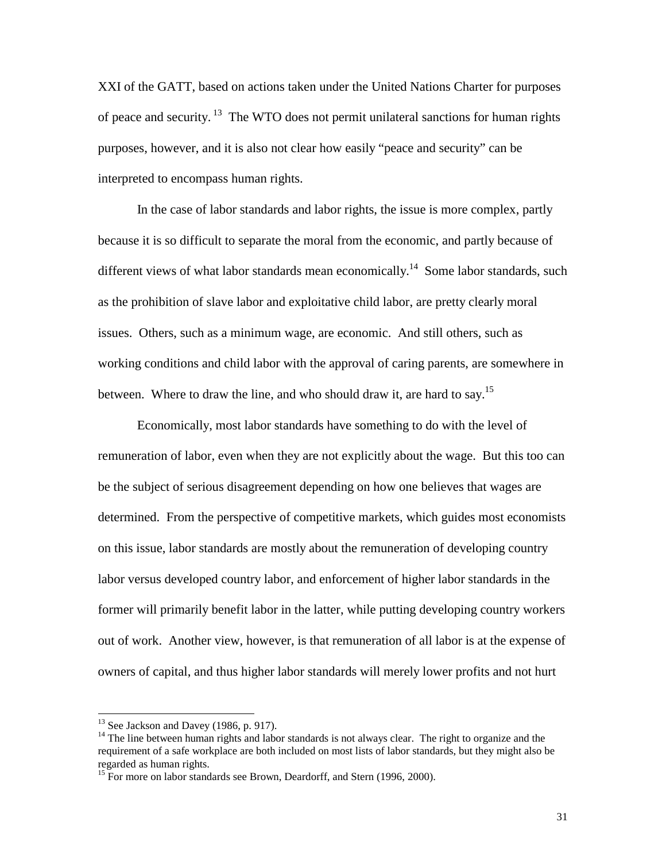XXI of the GATT, based on actions taken under the United Nations Charter for purposes of peace and security.<sup>13</sup> The WTO does not permit unilateral sanctions for human rights purposes, however, and it is also not clear how easily "peace and security" can be interpreted to encompass human rights.

In the case of labor standards and labor rights, the issue is more complex, partly because it is so difficult to separate the moral from the economic, and partly because of different views of what labor standards mean economically.<sup>14</sup> Some labor standards, such as the prohibition of slave labor and exploitative child labor, are pretty clearly moral issues. Others, such as a minimum wage, are economic. And still others, such as working conditions and child labor with the approval of caring parents, are somewhere in between. Where to draw the line, and who should draw it, are hard to say.<sup>15</sup>

Economically, most labor standards have something to do with the level of remuneration of labor, even when they are not explicitly about the wage. But this too can be the subject of serious disagreement depending on how one believes that wages are determined. From the perspective of competitive markets, which guides most economists on this issue, labor standards are mostly about the remuneration of developing country labor versus developed country labor, and enforcement of higher labor standards in the former will primarily benefit labor in the latter, while putting developing country workers out of work. Another view, however, is that remuneration of all labor is at the expense of owners of capital, and thus higher labor standards will merely lower profits and not hurt

 $13$  See Jackson and Davey (1986, p. 917).

 $14$  The line between human rights and labor standards is not always clear. The right to organize and the requirement of a safe workplace are both included on most lists of labor standards, but they might also be regarded as human rights.

<sup>&</sup>lt;sup>15</sup> For more on labor standards see Brown, Deardorff, and Stern (1996, 2000).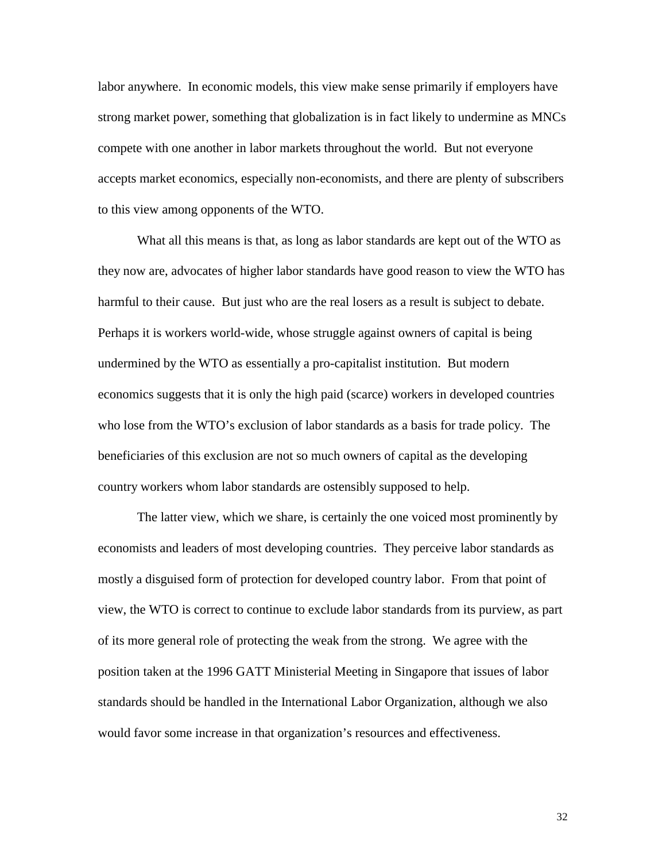labor anywhere. In economic models, this view make sense primarily if employers have strong market power, something that globalization is in fact likely to undermine as MNCs compete with one another in labor markets throughout the world. But not everyone accepts market economics, especially non-economists, and there are plenty of subscribers to this view among opponents of the WTO.

What all this means is that, as long as labor standards are kept out of the WTO as they now are, advocates of higher labor standards have good reason to view the WTO has harmful to their cause. But just who are the real losers as a result is subject to debate. Perhaps it is workers world-wide, whose struggle against owners of capital is being undermined by the WTO as essentially a pro-capitalist institution. But modern economics suggests that it is only the high paid (scarce) workers in developed countries who lose from the WTO's exclusion of labor standards as a basis for trade policy. The beneficiaries of this exclusion are not so much owners of capital as the developing country workers whom labor standards are ostensibly supposed to help.

The latter view, which we share, is certainly the one voiced most prominently by economists and leaders of most developing countries. They perceive labor standards as mostly a disguised form of protection for developed country labor. From that point of view, the WTO is correct to continue to exclude labor standards from its purview, as part of its more general role of protecting the weak from the strong. We agree with the position taken at the 1996 GATT Ministerial Meeting in Singapore that issues of labor standards should be handled in the International Labor Organization, although we also would favor some increase in that organization's resources and effectiveness.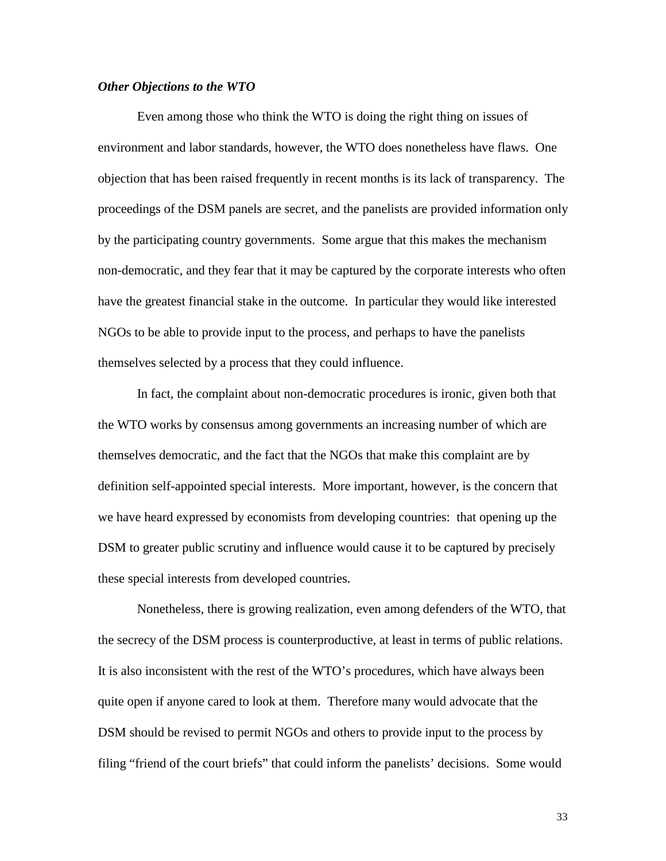#### *Other Objections to the WTO*

Even among those who think the WTO is doing the right thing on issues of environment and labor standards, however, the WTO does nonetheless have flaws. One objection that has been raised frequently in recent months is its lack of transparency. The proceedings of the DSM panels are secret, and the panelists are provided information only by the participating country governments. Some argue that this makes the mechanism non-democratic, and they fear that it may be captured by the corporate interests who often have the greatest financial stake in the outcome. In particular they would like interested NGOs to be able to provide input to the process, and perhaps to have the panelists themselves selected by a process that they could influence.

In fact, the complaint about non-democratic procedures is ironic, given both that the WTO works by consensus among governments an increasing number of which are themselves democratic, and the fact that the NGOs that make this complaint are by definition self-appointed special interests. More important, however, is the concern that we have heard expressed by economists from developing countries: that opening up the DSM to greater public scrutiny and influence would cause it to be captured by precisely these special interests from developed countries.

Nonetheless, there is growing realization, even among defenders of the WTO, that the secrecy of the DSM process is counterproductive, at least in terms of public relations. It is also inconsistent with the rest of the WTO's procedures, which have always been quite open if anyone cared to look at them. Therefore many would advocate that the DSM should be revised to permit NGOs and others to provide input to the process by filing "friend of the court briefs" that could inform the panelists' decisions. Some would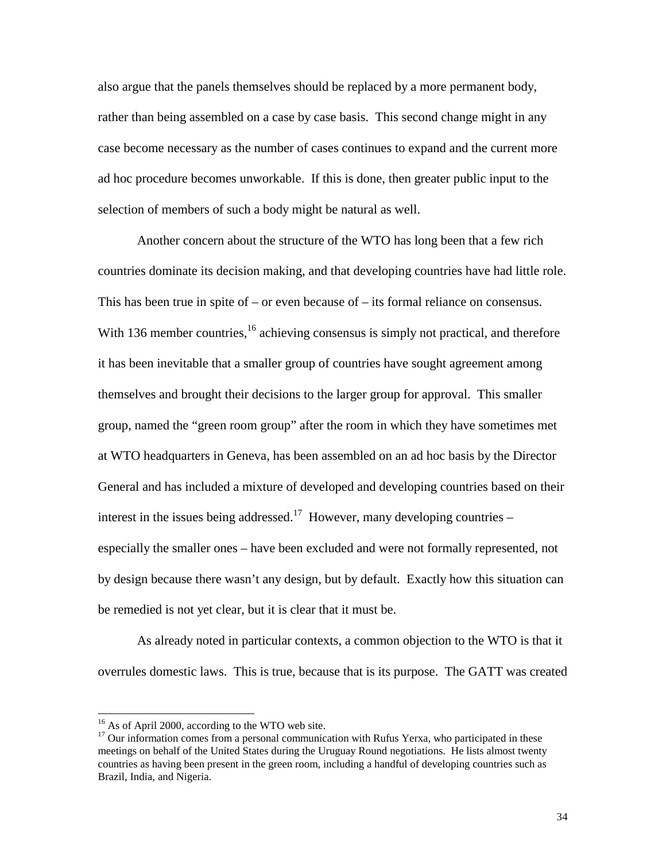also argue that the panels themselves should be replaced by a more permanent body, rather than being assembled on a case by case basis. This second change might in any case become necessary as the number of cases continues to expand and the current more ad hoc procedure becomes unworkable. If this is done, then greater public input to the selection of members of such a body might be natural as well.

Another concern about the structure of the WTO has long been that a few rich countries dominate its decision making, and that developing countries have had little role. This has been true in spite of – or even because of – its formal reliance on consensus. With 136 member countries, $16$  achieving consensus is simply not practical, and therefore it has been inevitable that a smaller group of countries have sought agreement among themselves and brought their decisions to the larger group for approval. This smaller group, named the "green room group" after the room in which they have sometimes met at WTO headquarters in Geneva, has been assembled on an ad hoc basis by the Director General and has included a mixture of developed and developing countries based on their interest in the issues being addressed.<sup>17</sup> However, many developing countries – especially the smaller ones – have been excluded and were not formally represented, not by design because there wasn't any design, but by default. Exactly how this situation can be remedied is not yet clear, but it is clear that it must be.

As already noted in particular contexts, a common objection to the WTO is that it overrules domestic laws. This is true, because that is its purpose. The GATT was created

 $16$  As of April 2000, according to the WTO web site.

<sup>&</sup>lt;sup>17</sup> Our information comes from a personal communication with Rufus Yerxa, who participated in these meetings on behalf of the United States during the Uruguay Round negotiations. He lists almost twenty countries as having been present in the green room, including a handful of developing countries such as Brazil, India, and Nigeria.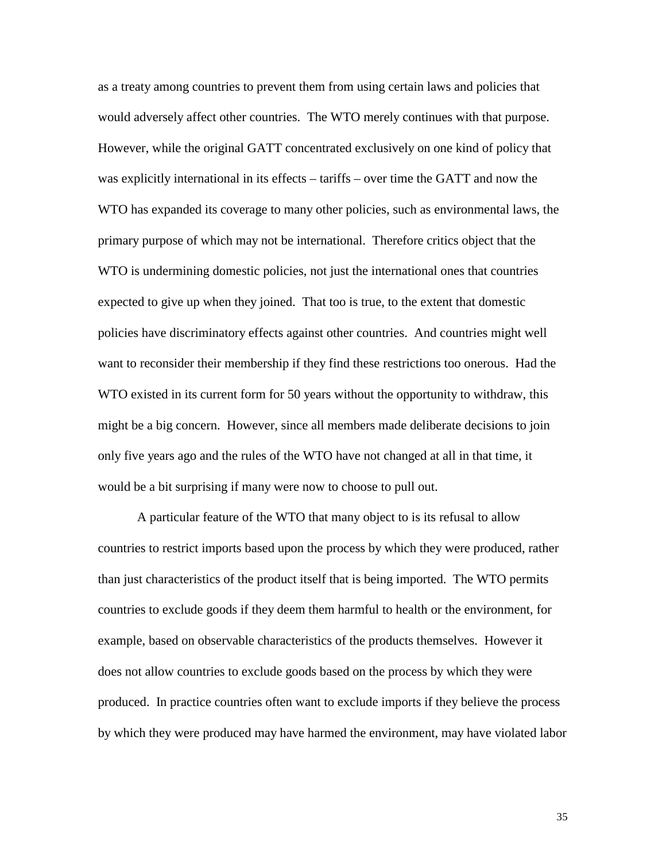as a treaty among countries to prevent them from using certain laws and policies that would adversely affect other countries. The WTO merely continues with that purpose. However, while the original GATT concentrated exclusively on one kind of policy that was explicitly international in its effects – tariffs – over time the GATT and now the WTO has expanded its coverage to many other policies, such as environmental laws, the primary purpose of which may not be international. Therefore critics object that the WTO is undermining domestic policies, not just the international ones that countries expected to give up when they joined. That too is true, to the extent that domestic policies have discriminatory effects against other countries. And countries might well want to reconsider their membership if they find these restrictions too onerous. Had the WTO existed in its current form for 50 years without the opportunity to withdraw, this might be a big concern. However, since all members made deliberate decisions to join only five years ago and the rules of the WTO have not changed at all in that time, it would be a bit surprising if many were now to choose to pull out.

A particular feature of the WTO that many object to is its refusal to allow countries to restrict imports based upon the process by which they were produced, rather than just characteristics of the product itself that is being imported. The WTO permits countries to exclude goods if they deem them harmful to health or the environment, for example, based on observable characteristics of the products themselves. However it does not allow countries to exclude goods based on the process by which they were produced. In practice countries often want to exclude imports if they believe the process by which they were produced may have harmed the environment, may have violated labor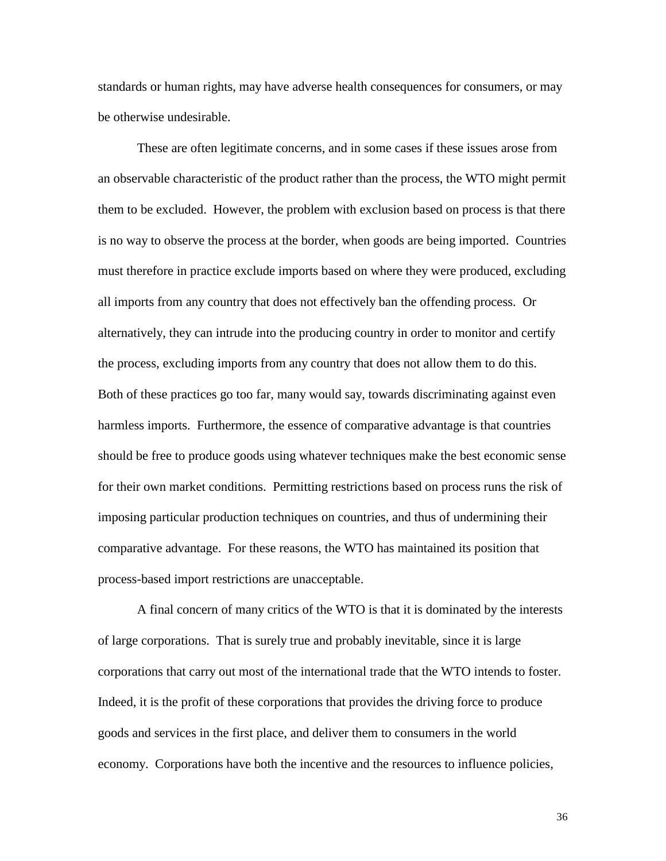standards or human rights, may have adverse health consequences for consumers, or may be otherwise undesirable.

These are often legitimate concerns, and in some cases if these issues arose from an observable characteristic of the product rather than the process, the WTO might permit them to be excluded. However, the problem with exclusion based on process is that there is no way to observe the process at the border, when goods are being imported. Countries must therefore in practice exclude imports based on where they were produced, excluding all imports from any country that does not effectively ban the offending process. Or alternatively, they can intrude into the producing country in order to monitor and certify the process, excluding imports from any country that does not allow them to do this. Both of these practices go too far, many would say, towards discriminating against even harmless imports. Furthermore, the essence of comparative advantage is that countries should be free to produce goods using whatever techniques make the best economic sense for their own market conditions. Permitting restrictions based on process runs the risk of imposing particular production techniques on countries, and thus of undermining their comparative advantage. For these reasons, the WTO has maintained its position that process-based import restrictions are unacceptable.

A final concern of many critics of the WTO is that it is dominated by the interests of large corporations. That is surely true and probably inevitable, since it is large corporations that carry out most of the international trade that the WTO intends to foster. Indeed, it is the profit of these corporations that provides the driving force to produce goods and services in the first place, and deliver them to consumers in the world economy. Corporations have both the incentive and the resources to influence policies,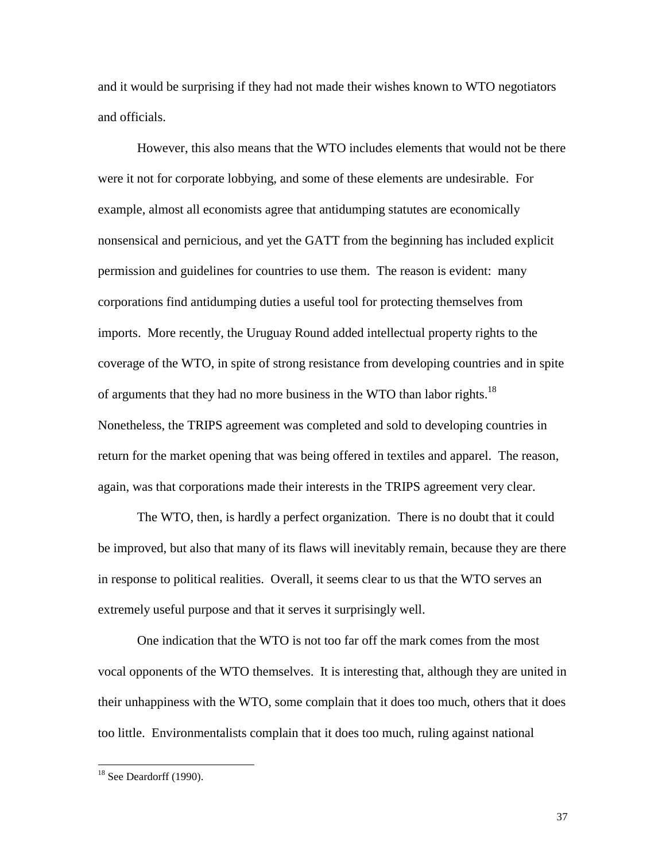and it would be surprising if they had not made their wishes known to WTO negotiators and officials.

However, this also means that the WTO includes elements that would not be there were it not for corporate lobbying, and some of these elements are undesirable. For example, almost all economists agree that antidumping statutes are economically nonsensical and pernicious, and yet the GATT from the beginning has included explicit permission and guidelines for countries to use them. The reason is evident: many corporations find antidumping duties a useful tool for protecting themselves from imports. More recently, the Uruguay Round added intellectual property rights to the coverage of the WTO, in spite of strong resistance from developing countries and in spite of arguments that they had no more business in the WTO than labor rights.<sup>18</sup> Nonetheless, the TRIPS agreement was completed and sold to developing countries in return for the market opening that was being offered in textiles and apparel. The reason, again, was that corporations made their interests in the TRIPS agreement very clear.

The WTO, then, is hardly a perfect organization. There is no doubt that it could be improved, but also that many of its flaws will inevitably remain, because they are there in response to political realities. Overall, it seems clear to us that the WTO serves an extremely useful purpose and that it serves it surprisingly well.

One indication that the WTO is not too far off the mark comes from the most vocal opponents of the WTO themselves. It is interesting that, although they are united in their unhappiness with the WTO, some complain that it does too much, others that it does too little. Environmentalists complain that it does too much, ruling against national

 $18$  See Deardorff (1990).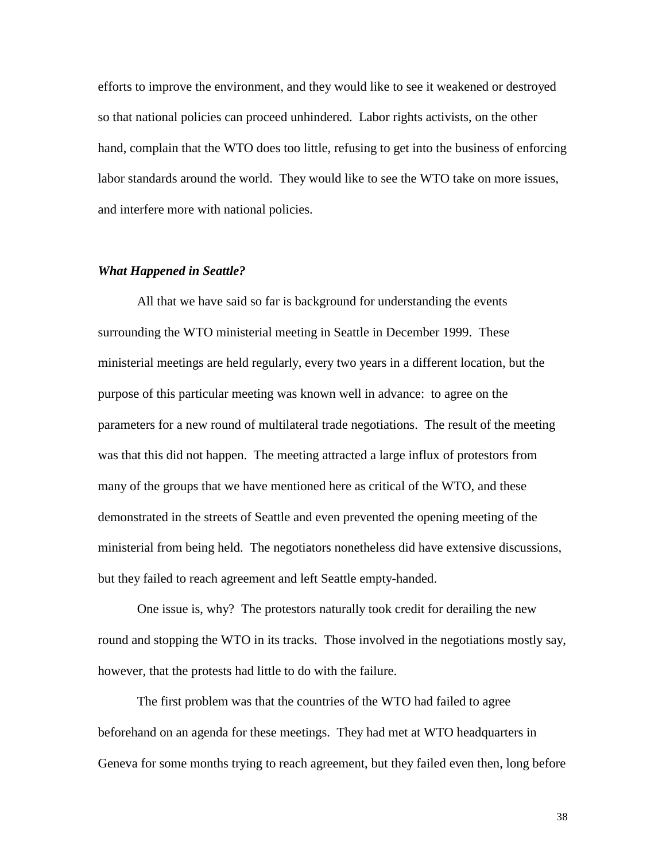efforts to improve the environment, and they would like to see it weakened or destroyed so that national policies can proceed unhindered. Labor rights activists, on the other hand, complain that the WTO does too little, refusing to get into the business of enforcing labor standards around the world. They would like to see the WTO take on more issues, and interfere more with national policies.

#### *What Happened in Seattle?*

All that we have said so far is background for understanding the events surrounding the WTO ministerial meeting in Seattle in December 1999. These ministerial meetings are held regularly, every two years in a different location, but the purpose of this particular meeting was known well in advance: to agree on the parameters for a new round of multilateral trade negotiations. The result of the meeting was that this did not happen. The meeting attracted a large influx of protestors from many of the groups that we have mentioned here as critical of the WTO, and these demonstrated in the streets of Seattle and even prevented the opening meeting of the ministerial from being held. The negotiators nonetheless did have extensive discussions, but they failed to reach agreement and left Seattle empty-handed.

One issue is, why? The protestors naturally took credit for derailing the new round and stopping the WTO in its tracks. Those involved in the negotiations mostly say, however, that the protests had little to do with the failure.

The first problem was that the countries of the WTO had failed to agree beforehand on an agenda for these meetings. They had met at WTO headquarters in Geneva for some months trying to reach agreement, but they failed even then, long before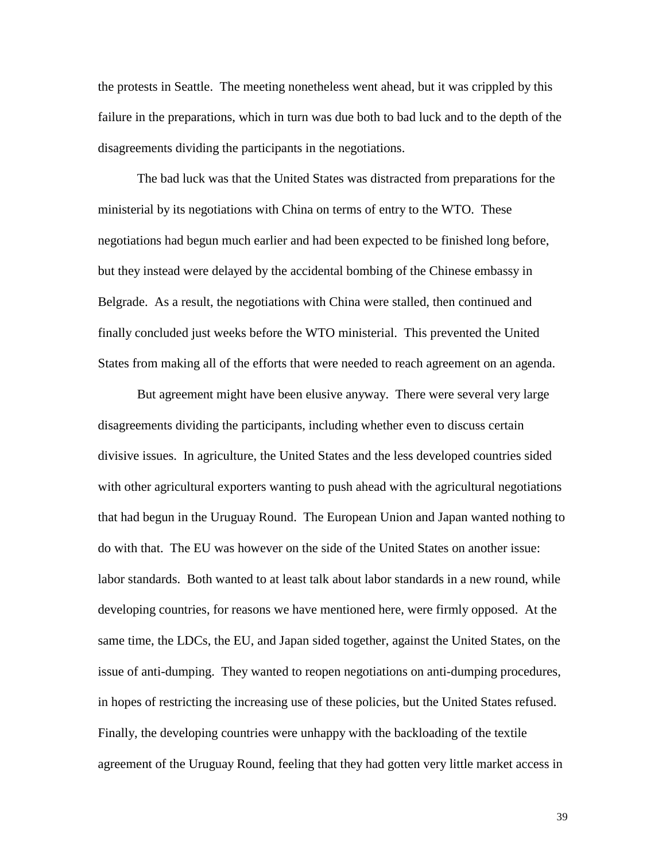the protests in Seattle. The meeting nonetheless went ahead, but it was crippled by this failure in the preparations, which in turn was due both to bad luck and to the depth of the disagreements dividing the participants in the negotiations.

The bad luck was that the United States was distracted from preparations for the ministerial by its negotiations with China on terms of entry to the WTO. These negotiations had begun much earlier and had been expected to be finished long before, but they instead were delayed by the accidental bombing of the Chinese embassy in Belgrade. As a result, the negotiations with China were stalled, then continued and finally concluded just weeks before the WTO ministerial. This prevented the United States from making all of the efforts that were needed to reach agreement on an agenda.

But agreement might have been elusive anyway. There were several very large disagreements dividing the participants, including whether even to discuss certain divisive issues. In agriculture, the United States and the less developed countries sided with other agricultural exporters wanting to push ahead with the agricultural negotiations that had begun in the Uruguay Round. The European Union and Japan wanted nothing to do with that. The EU was however on the side of the United States on another issue: labor standards. Both wanted to at least talk about labor standards in a new round, while developing countries, for reasons we have mentioned here, were firmly opposed. At the same time, the LDCs, the EU, and Japan sided together, against the United States, on the issue of anti-dumping. They wanted to reopen negotiations on anti-dumping procedures, in hopes of restricting the increasing use of these policies, but the United States refused. Finally, the developing countries were unhappy with the backloading of the textile agreement of the Uruguay Round, feeling that they had gotten very little market access in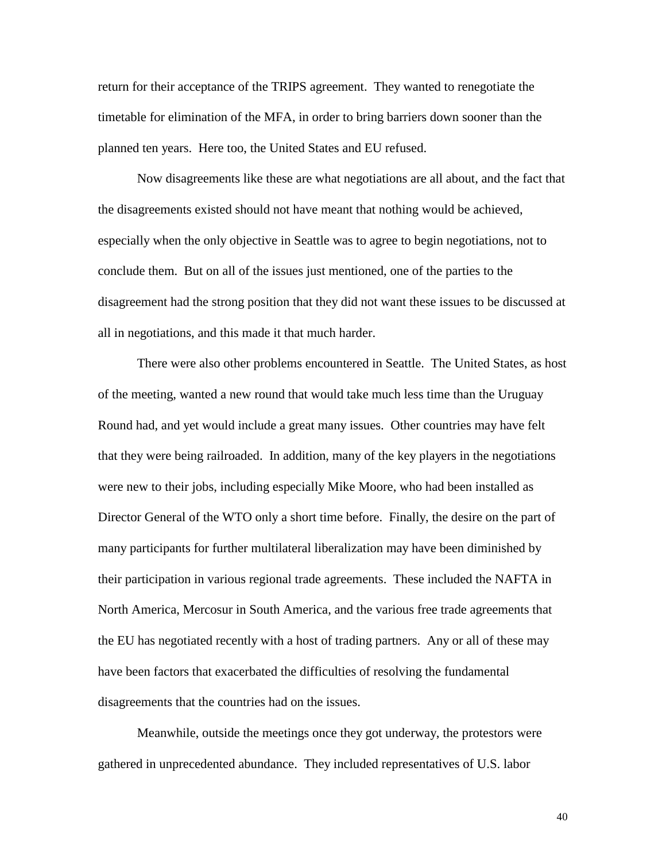return for their acceptance of the TRIPS agreement. They wanted to renegotiate the timetable for elimination of the MFA, in order to bring barriers down sooner than the planned ten years. Here too, the United States and EU refused.

Now disagreements like these are what negotiations are all about, and the fact that the disagreements existed should not have meant that nothing would be achieved, especially when the only objective in Seattle was to agree to begin negotiations, not to conclude them. But on all of the issues just mentioned, one of the parties to the disagreement had the strong position that they did not want these issues to be discussed at all in negotiations, and this made it that much harder.

There were also other problems encountered in Seattle. The United States, as host of the meeting, wanted a new round that would take much less time than the Uruguay Round had, and yet would include a great many issues. Other countries may have felt that they were being railroaded. In addition, many of the key players in the negotiations were new to their jobs, including especially Mike Moore, who had been installed as Director General of the WTO only a short time before. Finally, the desire on the part of many participants for further multilateral liberalization may have been diminished by their participation in various regional trade agreements. These included the NAFTA in North America, Mercosur in South America, and the various free trade agreements that the EU has negotiated recently with a host of trading partners. Any or all of these may have been factors that exacerbated the difficulties of resolving the fundamental disagreements that the countries had on the issues.

Meanwhile, outside the meetings once they got underway, the protestors were gathered in unprecedented abundance. They included representatives of U.S. labor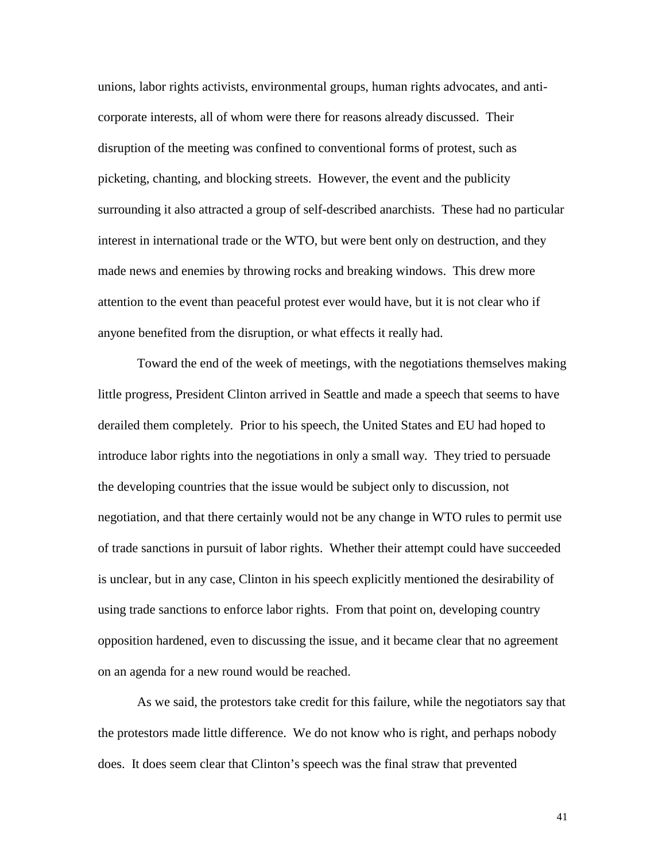unions, labor rights activists, environmental groups, human rights advocates, and anticorporate interests, all of whom were there for reasons already discussed. Their disruption of the meeting was confined to conventional forms of protest, such as picketing, chanting, and blocking streets. However, the event and the publicity surrounding it also attracted a group of self-described anarchists. These had no particular interest in international trade or the WTO, but were bent only on destruction, and they made news and enemies by throwing rocks and breaking windows. This drew more attention to the event than peaceful protest ever would have, but it is not clear who if anyone benefited from the disruption, or what effects it really had.

Toward the end of the week of meetings, with the negotiations themselves making little progress, President Clinton arrived in Seattle and made a speech that seems to have derailed them completely. Prior to his speech, the United States and EU had hoped to introduce labor rights into the negotiations in only a small way. They tried to persuade the developing countries that the issue would be subject only to discussion, not negotiation, and that there certainly would not be any change in WTO rules to permit use of trade sanctions in pursuit of labor rights. Whether their attempt could have succeeded is unclear, but in any case, Clinton in his speech explicitly mentioned the desirability of using trade sanctions to enforce labor rights. From that point on, developing country opposition hardened, even to discussing the issue, and it became clear that no agreement on an agenda for a new round would be reached.

As we said, the protestors take credit for this failure, while the negotiators say that the protestors made little difference. We do not know who is right, and perhaps nobody does. It does seem clear that Clinton's speech was the final straw that prevented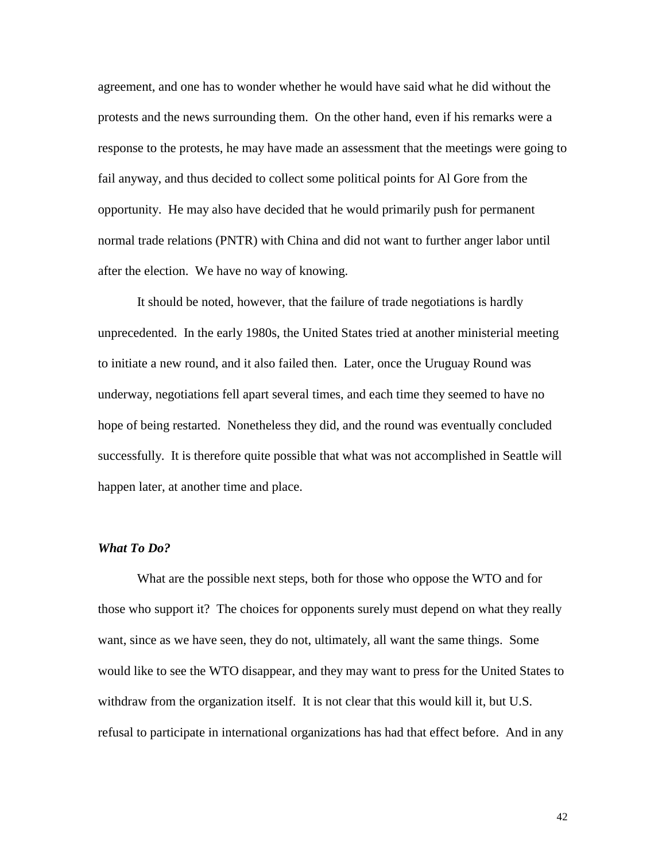agreement, and one has to wonder whether he would have said what he did without the protests and the news surrounding them. On the other hand, even if his remarks were a response to the protests, he may have made an assessment that the meetings were going to fail anyway, and thus decided to collect some political points for Al Gore from the opportunity. He may also have decided that he would primarily push for permanent normal trade relations (PNTR) with China and did not want to further anger labor until after the election. We have no way of knowing.

It should be noted, however, that the failure of trade negotiations is hardly unprecedented. In the early 1980s, the United States tried at another ministerial meeting to initiate a new round, and it also failed then. Later, once the Uruguay Round was underway, negotiations fell apart several times, and each time they seemed to have no hope of being restarted. Nonetheless they did, and the round was eventually concluded successfully. It is therefore quite possible that what was not accomplished in Seattle will happen later, at another time and place.

#### *What To Do?*

What are the possible next steps, both for those who oppose the WTO and for those who support it? The choices for opponents surely must depend on what they really want, since as we have seen, they do not, ultimately, all want the same things. Some would like to see the WTO disappear, and they may want to press for the United States to withdraw from the organization itself. It is not clear that this would kill it, but U.S. refusal to participate in international organizations has had that effect before. And in any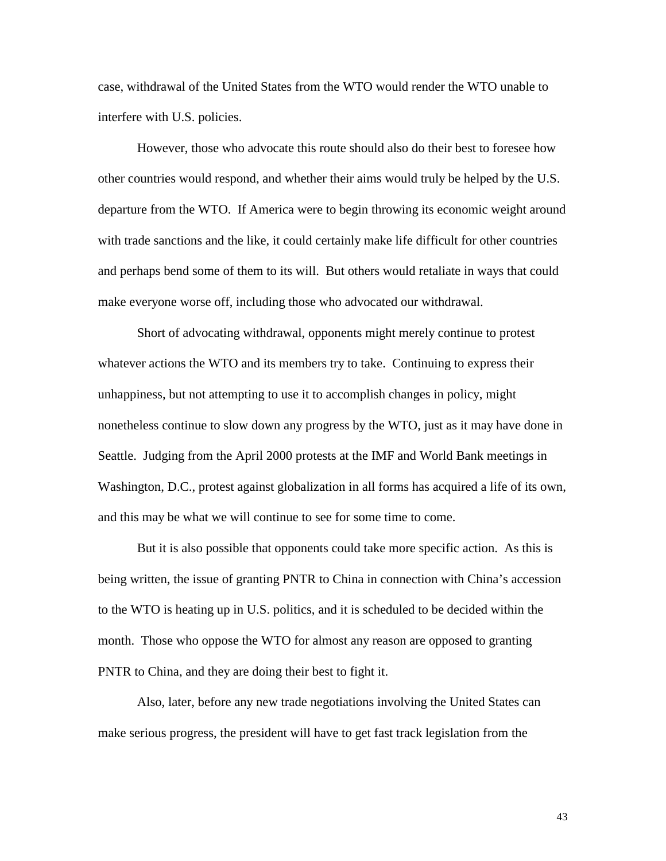case, withdrawal of the United States from the WTO would render the WTO unable to interfere with U.S. policies.

However, those who advocate this route should also do their best to foresee how other countries would respond, and whether their aims would truly be helped by the U.S. departure from the WTO. If America were to begin throwing its economic weight around with trade sanctions and the like, it could certainly make life difficult for other countries and perhaps bend some of them to its will. But others would retaliate in ways that could make everyone worse off, including those who advocated our withdrawal.

Short of advocating withdrawal, opponents might merely continue to protest whatever actions the WTO and its members try to take. Continuing to express their unhappiness, but not attempting to use it to accomplish changes in policy, might nonetheless continue to slow down any progress by the WTO, just as it may have done in Seattle. Judging from the April 2000 protests at the IMF and World Bank meetings in Washington, D.C., protest against globalization in all forms has acquired a life of its own, and this may be what we will continue to see for some time to come.

But it is also possible that opponents could take more specific action. As this is being written, the issue of granting PNTR to China in connection with China's accession to the WTO is heating up in U.S. politics, and it is scheduled to be decided within the month. Those who oppose the WTO for almost any reason are opposed to granting PNTR to China, and they are doing their best to fight it.

Also, later, before any new trade negotiations involving the United States can make serious progress, the president will have to get fast track legislation from the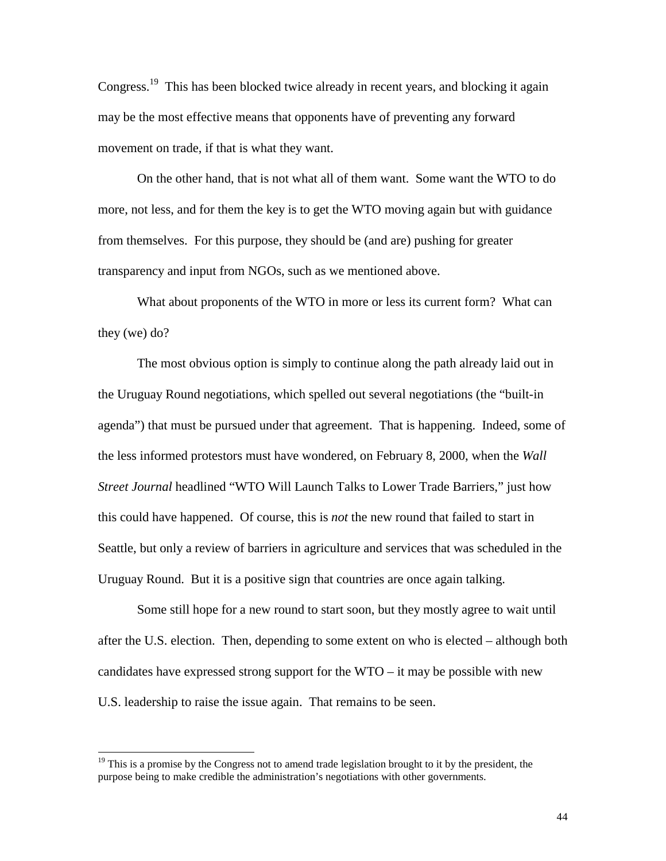Congress.<sup>19</sup> This has been blocked twice already in recent years, and blocking it again may be the most effective means that opponents have of preventing any forward movement on trade, if that is what they want.

On the other hand, that is not what all of them want. Some want the WTO to do more, not less, and for them the key is to get the WTO moving again but with guidance from themselves. For this purpose, they should be (and are) pushing for greater transparency and input from NGOs, such as we mentioned above.

What about proponents of the WTO in more or less its current form? What can they (we) do?

The most obvious option is simply to continue along the path already laid out in the Uruguay Round negotiations, which spelled out several negotiations (the "built-in agenda") that must be pursued under that agreement. That is happening. Indeed, some of the less informed protestors must have wondered, on February 8, 2000, when the *Wall Street Journal* headlined "WTO Will Launch Talks to Lower Trade Barriers," just how this could have happened. Of course, this is *not* the new round that failed to start in Seattle, but only a review of barriers in agriculture and services that was scheduled in the Uruguay Round. But it is a positive sign that countries are once again talking.

Some still hope for a new round to start soon, but they mostly agree to wait until after the U.S. election. Then, depending to some extent on who is elected – although both candidates have expressed strong support for the  $WTO - it$  may be possible with new U.S. leadership to raise the issue again. That remains to be seen.

 $19$ <sup>19</sup> This is a promise by the Congress not to amend trade legislation brought to it by the president, the purpose being to make credible the administration's negotiations with other governments.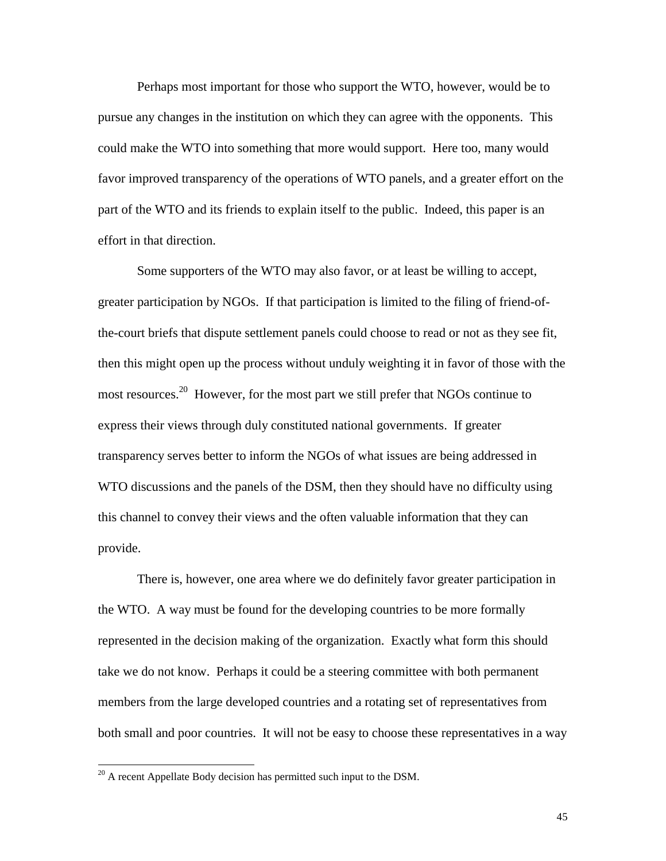Perhaps most important for those who support the WTO, however, would be to pursue any changes in the institution on which they can agree with the opponents. This could make the WTO into something that more would support. Here too, many would favor improved transparency of the operations of WTO panels, and a greater effort on the part of the WTO and its friends to explain itself to the public. Indeed, this paper is an effort in that direction.

Some supporters of the WTO may also favor, or at least be willing to accept, greater participation by NGOs. If that participation is limited to the filing of friend-ofthe-court briefs that dispute settlement panels could choose to read or not as they see fit, then this might open up the process without unduly weighting it in favor of those with the most resources.<sup>20</sup> However, for the most part we still prefer that NGOs continue to express their views through duly constituted national governments. If greater transparency serves better to inform the NGOs of what issues are being addressed in WTO discussions and the panels of the DSM, then they should have no difficulty using this channel to convey their views and the often valuable information that they can provide.

There is, however, one area where we do definitely favor greater participation in the WTO. A way must be found for the developing countries to be more formally represented in the decision making of the organization. Exactly what form this should take we do not know. Perhaps it could be a steering committee with both permanent members from the large developed countries and a rotating set of representatives from both small and poor countries. It will not be easy to choose these representatives in a way

<sup>&</sup>lt;sup>20</sup> A recent Appellate Body decision has permitted such input to the DSM.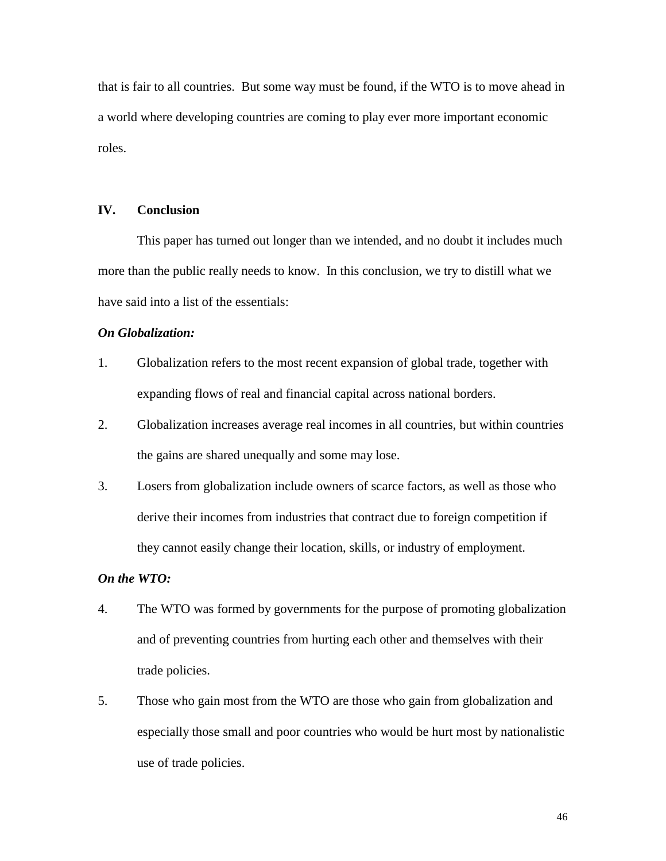that is fair to all countries. But some way must be found, if the WTO is to move ahead in a world where developing countries are coming to play ever more important economic roles.

#### **IV. Conclusion**

This paper has turned out longer than we intended, and no doubt it includes much more than the public really needs to know. In this conclusion, we try to distill what we have said into a list of the essentials:

#### *On Globalization:*

- 1. Globalization refers to the most recent expansion of global trade, together with expanding flows of real and financial capital across national borders.
- 2. Globalization increases average real incomes in all countries, but within countries the gains are shared unequally and some may lose.
- 3. Losers from globalization include owners of scarce factors, as well as those who derive their incomes from industries that contract due to foreign competition if they cannot easily change their location, skills, or industry of employment.

#### *On the WTO:*

- 4. The WTO was formed by governments for the purpose of promoting globalization and of preventing countries from hurting each other and themselves with their trade policies.
- 5. Those who gain most from the WTO are those who gain from globalization and especially those small and poor countries who would be hurt most by nationalistic use of trade policies.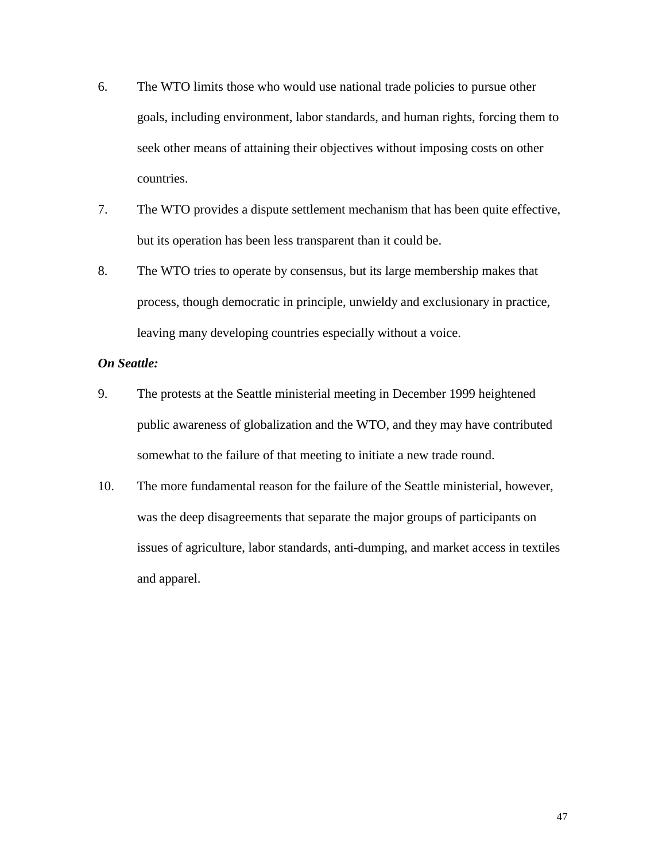- 6. The WTO limits those who would use national trade policies to pursue other goals, including environment, labor standards, and human rights, forcing them to seek other means of attaining their objectives without imposing costs on other countries.
- 7. The WTO provides a dispute settlement mechanism that has been quite effective, but its operation has been less transparent than it could be.
- 8. The WTO tries to operate by consensus, but its large membership makes that process, though democratic in principle, unwieldy and exclusionary in practice, leaving many developing countries especially without a voice.

#### *On Seattle:*

- 9. The protests at the Seattle ministerial meeting in December 1999 heightened public awareness of globalization and the WTO, and they may have contributed somewhat to the failure of that meeting to initiate a new trade round.
- 10. The more fundamental reason for the failure of the Seattle ministerial, however, was the deep disagreements that separate the major groups of participants on issues of agriculture, labor standards, anti-dumping, and market access in textiles and apparel.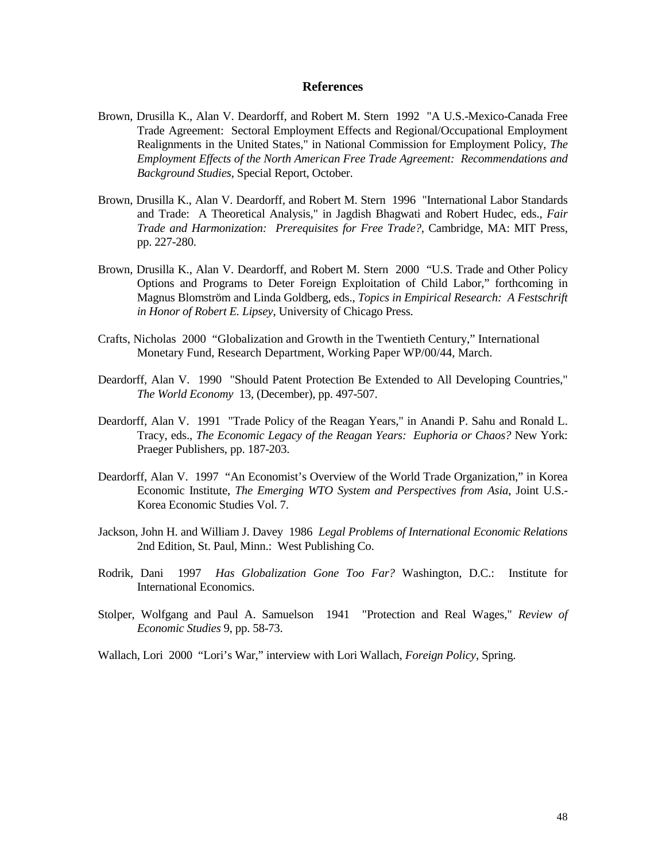#### **References**

- Brown, Drusilla K., Alan V. Deardorff, and Robert M. Stern 1992 "A U.S.-Mexico-Canada Free Trade Agreement: Sectoral Employment Effects and Regional/Occupational Employment Realignments in the United States," in National Commission for Employment Policy, *The Employment Effects of the North American Free Trade Agreement: Recommendations and Background Studies*, Special Report, October.
- Brown, Drusilla K., Alan V. Deardorff, and Robert M. Stern 1996 "International Labor Standards and Trade: A Theoretical Analysis," in Jagdish Bhagwati and Robert Hudec, eds., *Fair Trade and Harmonization: Prerequisites for Free Trade?*, Cambridge, MA: MIT Press, pp. 227-280.
- Brown, Drusilla K., Alan V. Deardorff, and Robert M. Stern 2000 "U.S. Trade and Other Policy Options and Programs to Deter Foreign Exploitation of Child Labor," forthcoming in Magnus Blomström and Linda Goldberg, eds., *Topics in Empirical Research: A Festschrift in Honor of Robert E. Lipsey*, University of Chicago Press.
- Crafts, Nicholas 2000 "Globalization and Growth in the Twentieth Century," International Monetary Fund, Research Department, Working Paper WP/00/44, March.
- Deardorff, Alan V. 1990 "Should Patent Protection Be Extended to All Developing Countries," *The World Economy* 13, (December), pp. 497-507.
- Deardorff, Alan V. 1991 "Trade Policy of the Reagan Years," in Anandi P. Sahu and Ronald L. Tracy, eds., *The Economic Legacy of the Reagan Years: Euphoria or Chaos?* New York: Praeger Publishers, pp. 187-203.
- Deardorff, Alan V. 1997 "An Economist's Overview of the World Trade Organization," in Korea Economic Institute, *The Emerging WTO System and Perspectives from Asia*, Joint U.S.- Korea Economic Studies Vol. 7.
- Jackson, John H. and William J. Davey 1986 *Legal Problems of International Economic Relations* 2nd Edition, St. Paul, Minn.: West Publishing Co.
- Rodrik, Dani 1997 *Has Globalization Gone Too Far?* Washington, D.C.: Institute for International Economics.
- Stolper, Wolfgang and Paul A. Samuelson 1941 "Protection and Real Wages," *Review of Economic Studies* 9, pp. 58-73.
- Wallach, Lori 2000 "Lori's War," interview with Lori Wallach, *Foreign Policy*, Spring.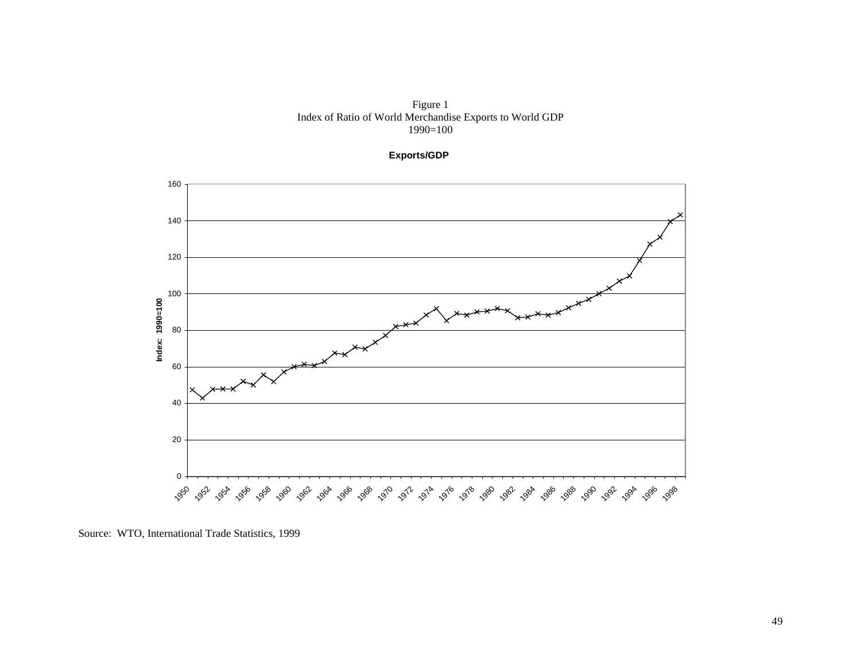





Source: WTO, International Trade Statistics, 1999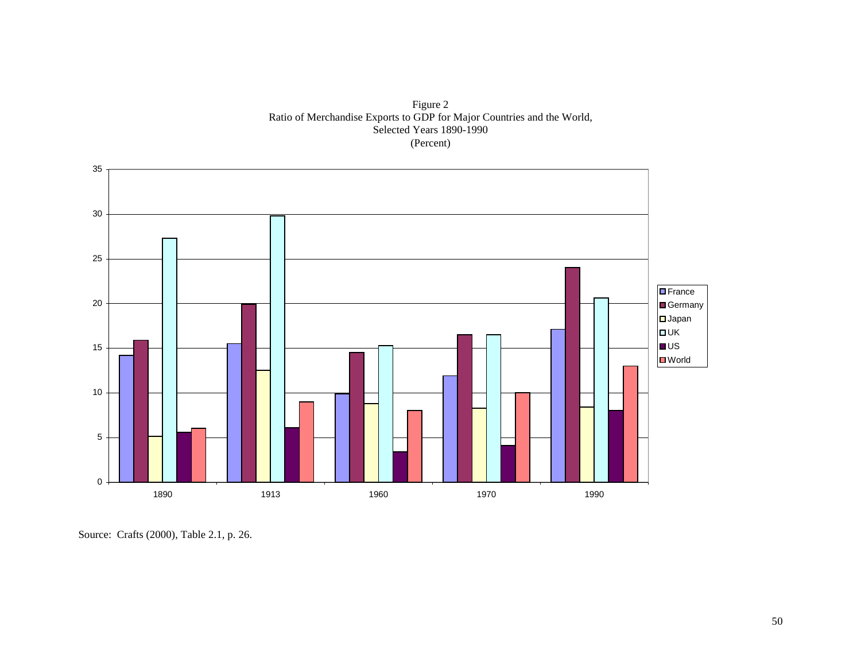Figure 2 Ratio of Merchandise Exports to GDP for Major Countries and the World, Selected Years 1890-1990 (Percent)



Source: Crafts (2000), Table 2.1, p. 26.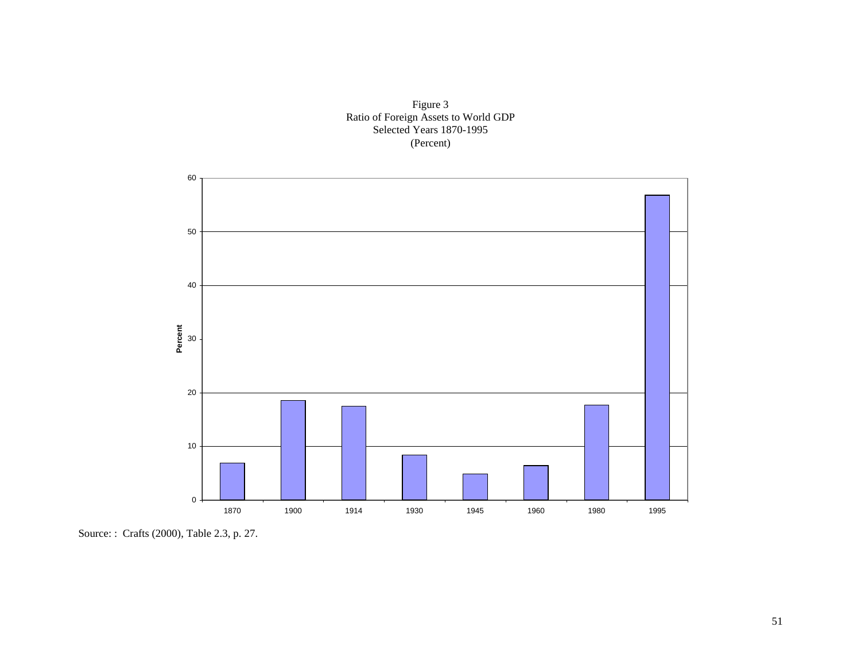Figure 3 Ratio of Foreign Assets to World GDP Selected Years 1870-1995 (Percent)



Source: : Crafts (2000), Table 2.3, p. 27.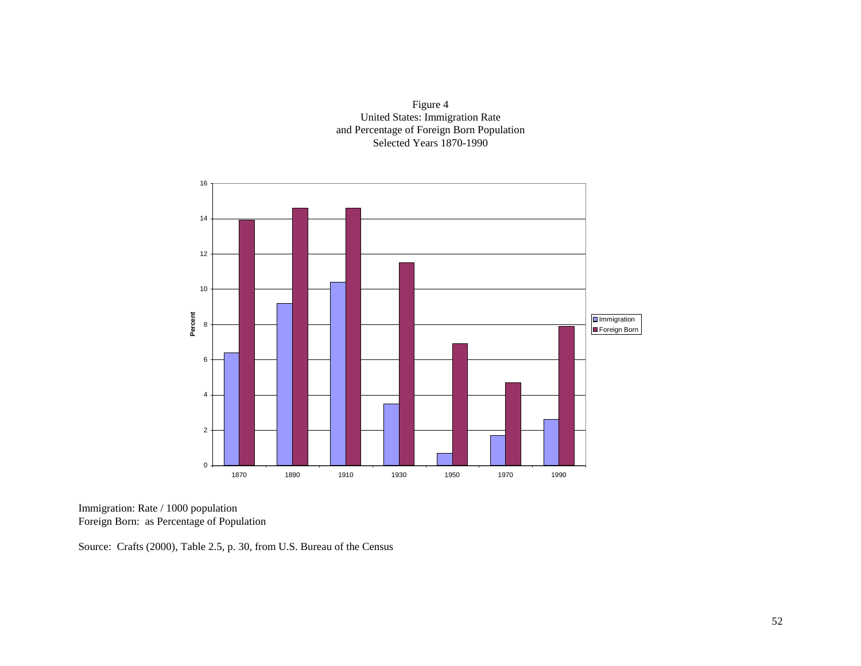



Immigration: Rate / 1000 population Foreign Born: as Percentage of Population

Source: Crafts (2000), Table 2.5, p. 30, from U.S. Bureau of the Census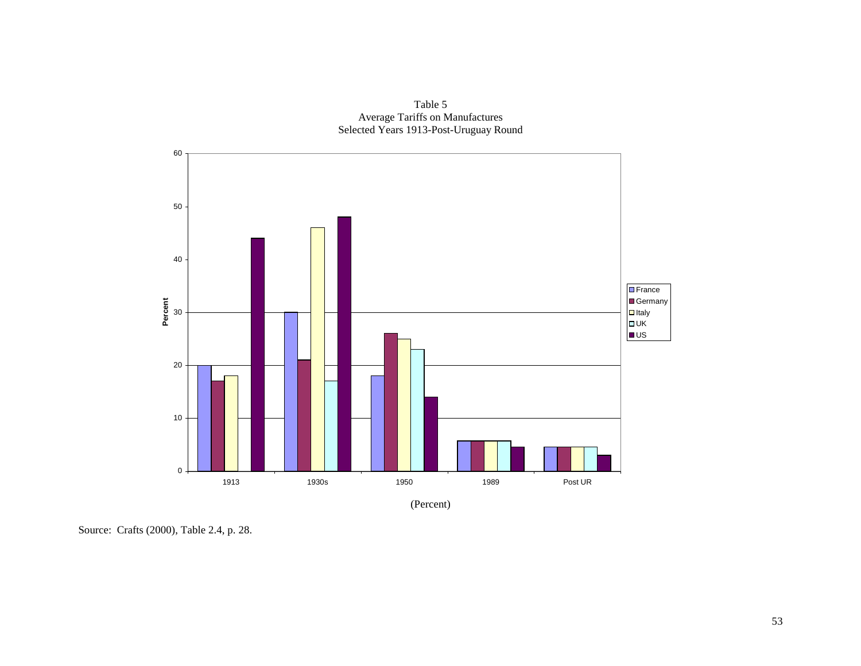



(Percent)

Source: Crafts (2000), Table 2.4, p. 28.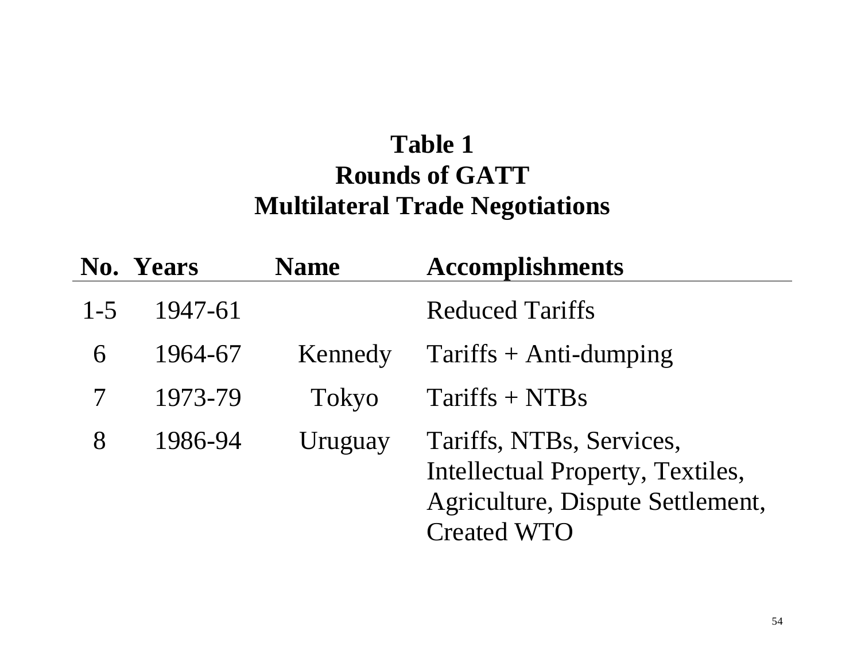# **Table 1 Rounds of GATT Multilateral Trade Negotiations**

|         | <b>No. Years</b> | <b>Name</b> | <b>Accomplishments</b>                                                                                                 |
|---------|------------------|-------------|------------------------------------------------------------------------------------------------------------------------|
| $1 - 5$ | 1947-61          |             | <b>Reduced Tariffs</b>                                                                                                 |
| 6       | 1964-67          | Kennedy     | $Tariffs + Anti-dumping$                                                                                               |
|         | 1973-79          | Tokyo       | $Tariffs + NTBs$                                                                                                       |
| 8       | 1986-94          | Uruguay     | Tariffs, NTBs, Services,<br>Intellectual Property, Textiles,<br>Agriculture, Dispute Settlement,<br><b>Created WTO</b> |